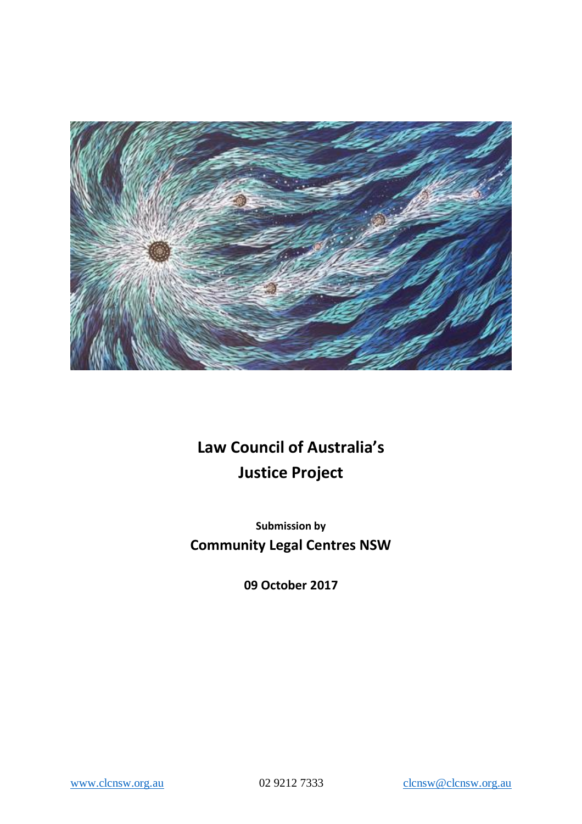

# **Law Council of Australia's Justice Project**

**Submission by Community Legal Centres NSW**

**09 October 2017**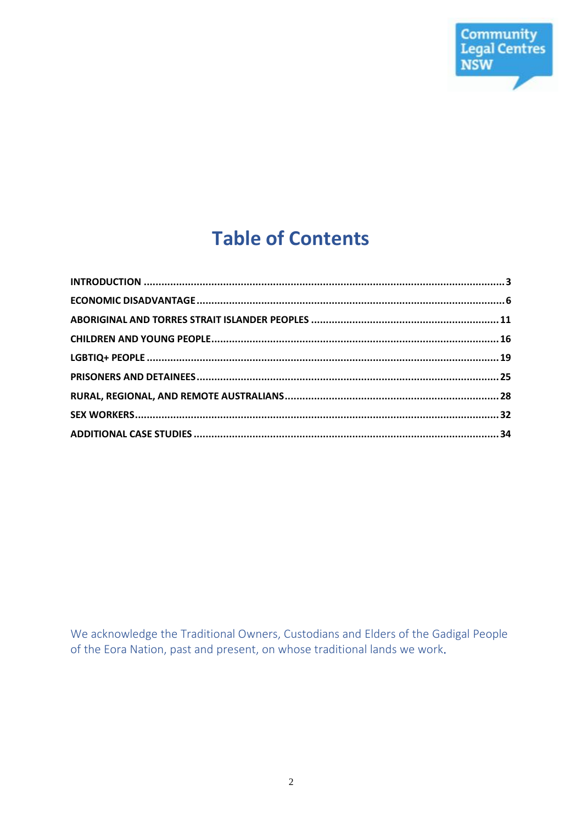

# **Table of Contents**

We acknowledge the Traditional Owners, Custodians and Elders of the Gadigal People of the Eora Nation, past and present, on whose traditional lands we work.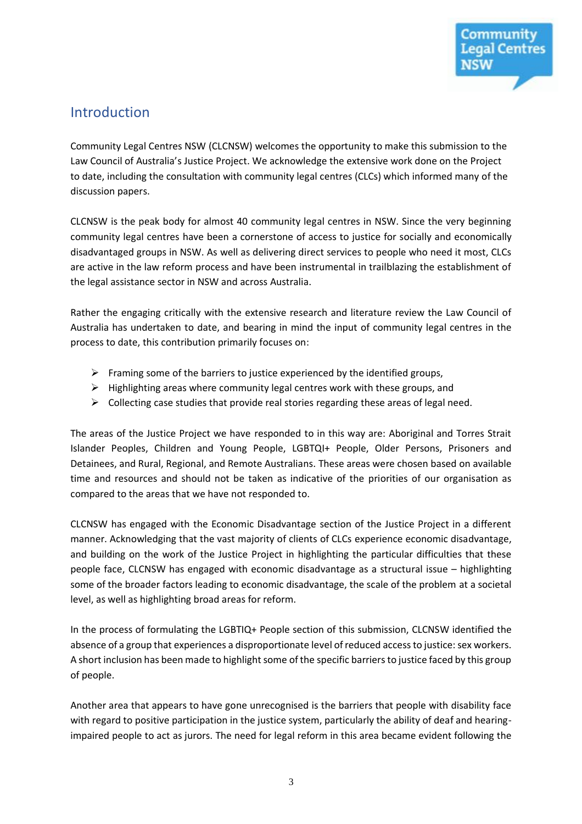

# Introduction

Community Legal Centres NSW (CLCNSW) welcomes the opportunity to make this submission to the Law Council of Australia's Justice Project. We acknowledge the extensive work done on the Project to date, including the consultation with community legal centres (CLCs) which informed many of the discussion papers.

CLCNSW is the peak body for almost 40 community legal centres in NSW. Since the very beginning community legal centres have been a cornerstone of access to justice for socially and economically disadvantaged groups in NSW. As well as delivering direct services to people who need it most, CLCs are active in the law reform process and have been instrumental in trailblazing the establishment of the legal assistance sector in NSW and across Australia.

Rather the engaging critically with the extensive research and literature review the Law Council of Australia has undertaken to date, and bearing in mind the input of community legal centres in the process to date, this contribution primarily focuses on:

- $\triangleright$  Framing some of the barriers to justice experienced by the identified groups,
- $\triangleright$  Highlighting areas where community legal centres work with these groups, and
- $\triangleright$  Collecting case studies that provide real stories regarding these areas of legal need.

The areas of the Justice Project we have responded to in this way are: Aboriginal and Torres Strait Islander Peoples, Children and Young People, LGBTQI+ People, Older Persons, Prisoners and Detainees, and Rural, Regional, and Remote Australians. These areas were chosen based on available time and resources and should not be taken as indicative of the priorities of our organisation as compared to the areas that we have not responded to.

CLCNSW has engaged with the Economic Disadvantage section of the Justice Project in a different manner. Acknowledging that the vast majority of clients of CLCs experience economic disadvantage, and building on the work of the Justice Project in highlighting the particular difficulties that these people face, CLCNSW has engaged with economic disadvantage as a structural issue – highlighting some of the broader factors leading to economic disadvantage, the scale of the problem at a societal level, as well as highlighting broad areas for reform.

In the process of formulating the LGBTIQ+ People section of this submission, CLCNSW identified the absence of a group that experiences a disproportionate level of reduced access to justice: sex workers. A short inclusion has been made to highlight some of the specific barriers to justice faced by this group of people.

Another area that appears to have gone unrecognised is the barriers that people with disability face with regard to positive participation in the justice system, particularly the ability of deaf and hearingimpaired people to act as jurors. The need for legal reform in this area became evident following the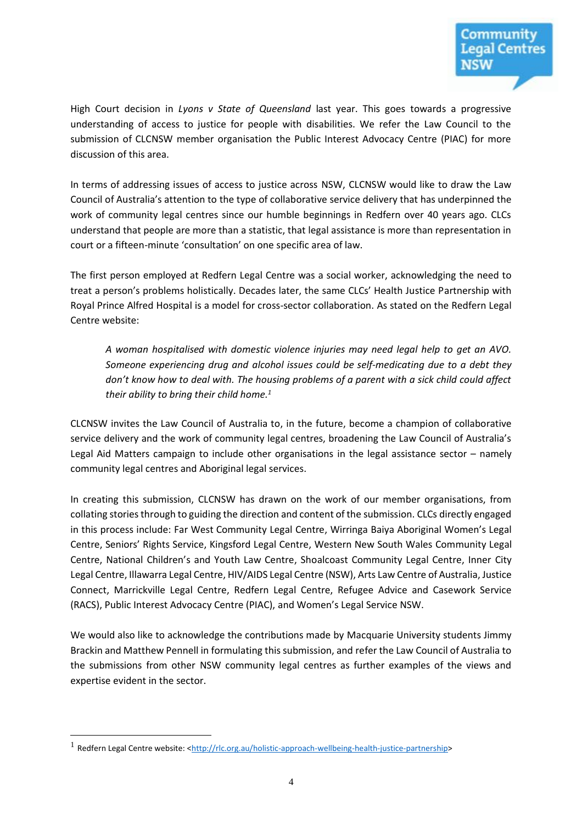High Court decision in *Lyons v State of Queensland* last year. This goes towards a progressive understanding of access to justice for people with disabilities. We refer the Law Council to the submission of CLCNSW member organisation the Public Interest Advocacy Centre (PIAC) for more discussion of this area.

In terms of addressing issues of access to justice across NSW, CLCNSW would like to draw the Law Council of Australia's attention to the type of collaborative service delivery that has underpinned the work of community legal centres since our humble beginnings in Redfern over 40 years ago. CLCs understand that people are more than a statistic, that legal assistance is more than representation in court or a fifteen-minute 'consultation' on one specific area of law.

The first person employed at Redfern Legal Centre was a social worker, acknowledging the need to treat a person's problems holistically. Decades later, the same CLCs' Health Justice Partnership with Royal Prince Alfred Hospital is a model for cross-sector collaboration. As stated on the Redfern Legal Centre website:

*A woman hospitalised with domestic violence injuries may need legal help to get an AVO. Someone experiencing drug and alcohol issues could be self-medicating due to a debt they don't know how to deal with. The housing problems of a parent with a sick child could affect their ability to bring their child home.<sup>1</sup>*

CLCNSW invites the Law Council of Australia to, in the future, become a champion of collaborative service delivery and the work of community legal centres, broadening the Law Council of Australia's Legal Aid Matters campaign to include other organisations in the legal assistance sector – namely community legal centres and Aboriginal legal services.

In creating this submission, CLCNSW has drawn on the work of our member organisations, from collating stories through to guiding the direction and content of the submission. CLCs directly engaged in this process include: Far West Community Legal Centre, Wirringa Baiya Aboriginal Women's Legal Centre, Seniors' Rights Service, Kingsford Legal Centre, Western New South Wales Community Legal Centre, National Children's and Youth Law Centre, Shoalcoast Community Legal Centre, Inner City Legal Centre, Illawarra Legal Centre, HIV/AIDS Legal Centre (NSW), Arts Law Centre of Australia, Justice Connect, Marrickville Legal Centre, Redfern Legal Centre, Refugee Advice and Casework Service (RACS), Public Interest Advocacy Centre (PIAC), and Women's Legal Service NSW.

We would also like to acknowledge the contributions made by Macquarie University students Jimmy Brackin and Matthew Pennell in formulating this submission, and refer the Law Council of Australia to the submissions from other NSW community legal centres as further examples of the views and expertise evident in the sector.

<sup>&</sup>lt;sup>1</sup> Redfern Legal Centre website: [<http://rlc.org.au/holistic-approach-wellbeing-health-justice-partnership>](http://rlc.org.au/holistic-approach-wellbeing-health-justice-partnership)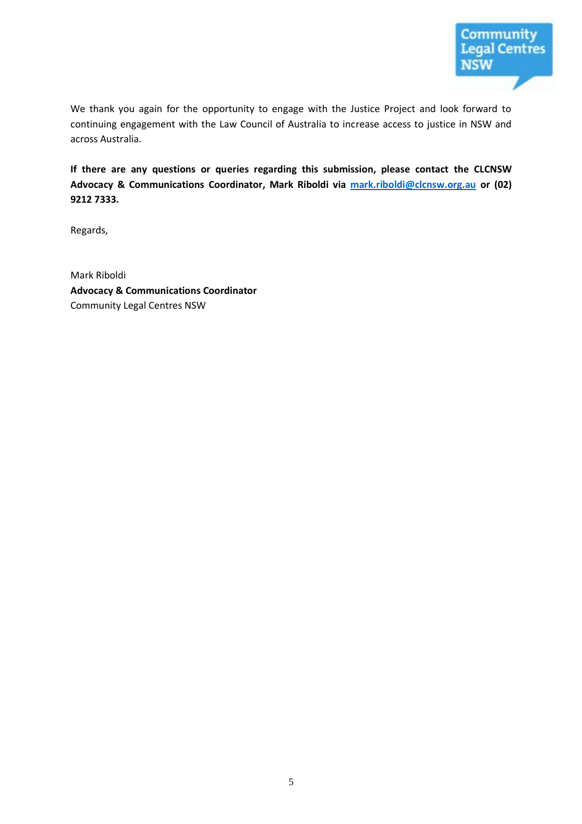We thank you again for the opportunity to engage with the Justice Project and look forward to continuing engagement with the Law Council of Australia to increase access to justice in NSW and across Australia.

**If there are any questions or queries regarding this submission, please contact the CLCNSW Advocacy & Communications Coordinator, Mark Riboldi via [mark.riboldi@clcnsw.org.au](mailto:mark.riboldi@clcnsw.org.au) or (02) 9212 7333.**

Regards,

Mark Riboldi **Advocacy & Communications Coordinator** Community Legal Centres NSW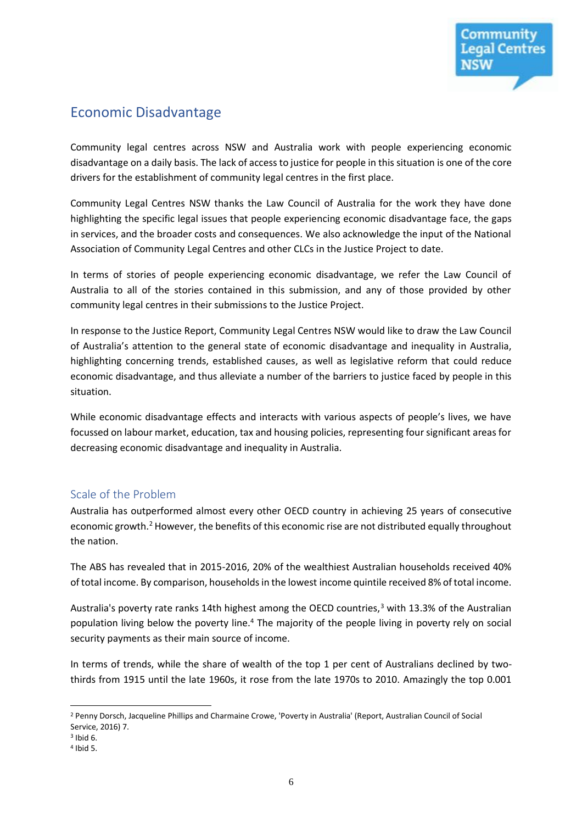# Economic Disadvantage

Community legal centres across NSW and Australia work with people experiencing economic disadvantage on a daily basis. The lack of access to justice for people in this situation is one of the core drivers for the establishment of community legal centres in the first place.

Community Legal Centres NSW thanks the Law Council of Australia for the work they have done highlighting the specific legal issues that people experiencing economic disadvantage face, the gaps in services, and the broader costs and consequences. We also acknowledge the input of the National Association of Community Legal Centres and other CLCs in the Justice Project to date.

In terms of stories of people experiencing economic disadvantage, we refer the Law Council of Australia to all of the stories contained in this submission, and any of those provided by other community legal centres in their submissions to the Justice Project.

In response to the Justice Report, Community Legal Centres NSW would like to draw the Law Council of Australia's attention to the general state of economic disadvantage and inequality in Australia, highlighting concerning trends, established causes, as well as legislative reform that could reduce economic disadvantage, and thus alleviate a number of the barriers to justice faced by people in this situation.

While economic disadvantage effects and interacts with various aspects of people's lives, we have focussed on labour market, education, tax and housing policies, representing four significant areas for decreasing economic disadvantage and inequality in Australia.

#### Scale of the Problem

Australia has outperformed almost every other OECD country in achieving 25 years of consecutive economic growth.<sup>2</sup> However, the benefits of this economic rise are not distributed equally throughout the nation.

The ABS has revealed that in 2015-2016, 20% of the wealthiest Australian households received 40% of total income. By comparison, households in the lowest income quintile received 8% of total income.

Australia's poverty rate ranks 14th highest among the OECD countries,<sup>3</sup> with 13.3% of the Australian population living below the poverty line.<sup>4</sup> The majority of the people living in poverty rely on social security payments as their main source of income.

In terms of trends, while the share of wealth of the top 1 per cent of Australians declined by twothirds from 1915 until the late 1960s, it rose from the late 1970s to 2010. Amazingly the top 0.001

 $\overline{a}$ <sup>2</sup> Penny Dorsch, Jacqueline Phillips and Charmaine Crowe, 'Poverty in Australia' (Report, Australian Council of Social Service, 2016) 7.

 $3$  Ibid 6.

<sup>4</sup> Ibid 5.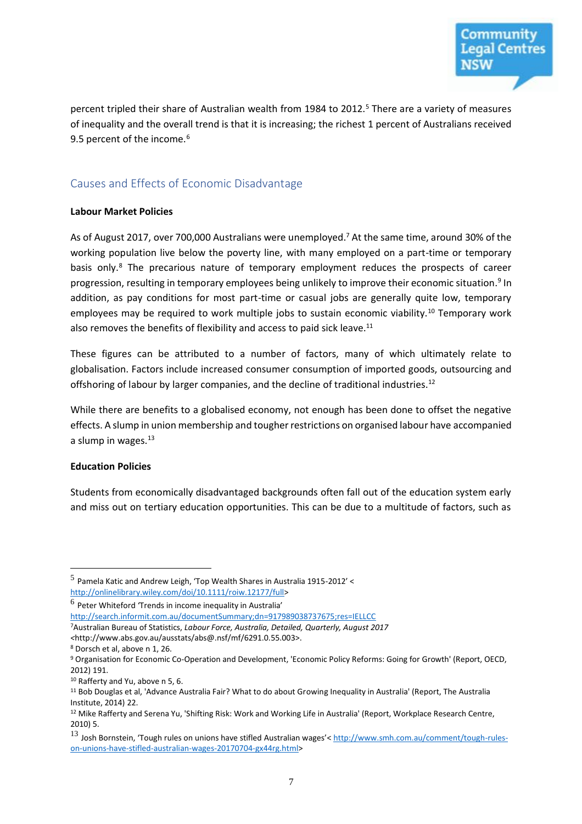percent tripled their share of Australian wealth from 1984 to 2012.<sup>5</sup> There are a variety of measures of inequality and the overall trend is that it is increasing; the richest 1 percent of Australians received 9.5 percent of the income.<sup>6</sup>

#### Causes and Effects of Economic Disadvantage

#### **Labour Market Policies**

As of August 2017, over 700,000 Australians were unemployed.<sup>7</sup> At the same time, around 30% of the working population live below the poverty line, with many employed on a part-time or temporary basis only.<sup>8</sup> The precarious nature of temporary employment reduces the prospects of career progression, resulting in temporary employees being unlikely to improve their economic situation.<sup>9</sup> In addition, as pay conditions for most part-time or casual jobs are generally quite low, temporary employees may be required to work multiple jobs to sustain economic viability.<sup>10</sup> Temporary work also removes the benefits of flexibility and access to paid sick leave.<sup>11</sup>

These figures can be attributed to a number of factors, many of which ultimately relate to globalisation. Factors include increased consumer consumption of imported goods, outsourcing and offshoring of labour by larger companies, and the decline of traditional industries.<sup>12</sup>

While there are benefits to a globalised economy, not enough has been done to offset the negative effects. A slump in union membership and tougher restrictions on organised labour have accompanied a slump in wages. $13$ 

#### **Education Policies**

 $\overline{a}$ 

Students from economically disadvantaged backgrounds often fall out of the education system early and miss out on tertiary education opportunities. This can be due to a multitude of factors, such as

- *<*http://www.abs.gov.au/ausstats/abs@.nsf/mf/6291.0.55.003>.
- <sup>8</sup> Dorsch et al, above n 1, 26.

 $^5$  Pamela Katic and Andrew Leigh, 'Top Wealth Shares in Australia 1915-2012' < [http://onlinelibrary.wiley.com/doi/10.1111/roiw.12177/full>](http://onlinelibrary.wiley.com/doi/10.1111/roiw.12177/full)

 $^6$  Peter Whiteford 'Trends in income inequality in Australia'

<http://search.informit.com.au/documentSummary;dn=917989038737675;res=IELLCC>

<sup>7</sup>Australian Bureau of Statistics, *Labour Force, Australia, Detailed, Quarterly, August 2017* 

<sup>9</sup> Organisation for Economic Co-Operation and Development, 'Economic Policy Reforms: Going for Growth' (Report, OECD, 2012) 191.

<sup>10</sup> Rafferty and Yu, above n 5, 6.

<sup>11</sup> Bob Douglas et al, 'Advance Australia Fair? What to do about Growing Inequality in Australia' (Report, The Australia Institute, 2014) 22.

<sup>&</sup>lt;sup>12</sup> Mike Rafferty and Serena Yu, 'Shifting Risk: Work and Working Life in Australia' (Report, Workplace Research Centre, 2010) 5.

<sup>13</sup> Josh Bornstein, 'Tough rules on unions have stifled Australian wages'< [http://www.smh.com.au/comment/tough-rules](http://www.smh.com.au/comment/tough-rules-on-unions-have-stifled-australian-wages-20170704-gx44rg.html)[on-unions-have-stifled-australian-wages-20170704-gx44rg.html>](http://www.smh.com.au/comment/tough-rules-on-unions-have-stifled-australian-wages-20170704-gx44rg.html)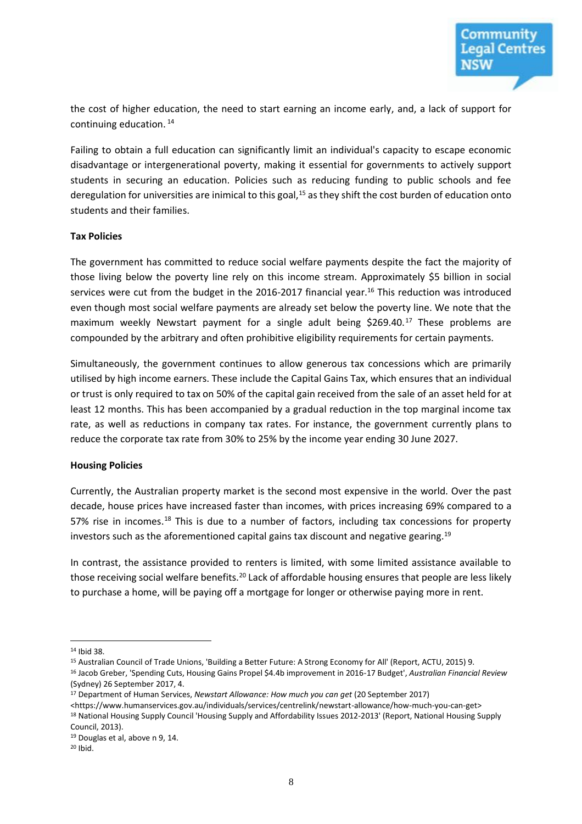

the cost of higher education, the need to start earning an income early, and, a lack of support for continuing education.<sup>14</sup>

Failing to obtain a full education can significantly limit an individual's capacity to escape economic disadvantage or intergenerational poverty, making it essential for governments to actively support students in securing an education. Policies such as reducing funding to public schools and fee deregulation for universities are inimical to this goal,<sup>15</sup> as they shift the cost burden of education onto students and their families.

#### **Tax Policies**

The government has committed to reduce social welfare payments despite the fact the majority of those living below the poverty line rely on this income stream. Approximately \$5 billion in social services were cut from the budget in the 2016-2017 financial year.<sup>16</sup> This reduction was introduced even though most social welfare payments are already set below the poverty line. We note that the maximum weekly Newstart payment for a single adult being \$269.40.<sup>17</sup> These problems are compounded by the arbitrary and often prohibitive eligibility requirements for certain payments.

Simultaneously, the government continues to allow generous tax concessions which are primarily utilised by high income earners. These include the Capital Gains Tax, which ensures that an individual or trust is only required to tax on 50% of the capital gain received from the sale of an asset held for at least 12 months. This has been accompanied by a gradual reduction in the top marginal income tax rate, as well as reductions in company tax rates. For instance, the government currently plans to reduce the corporate tax rate from 30% to 25% by the income year ending 30 June 2027.

#### **Housing Policies**

Currently, the Australian property market is the second most expensive in the world. Over the past decade, house prices have increased faster than incomes, with prices increasing 69% compared to a 57% rise in incomes.<sup>18</sup> This is due to a number of factors, including tax concessions for property investors such as the aforementioned capital gains tax discount and negative gearing.<sup>19</sup>

In contrast, the assistance provided to renters is limited, with some limited assistance available to those receiving social welfare benefits.<sup>20</sup> Lack of affordable housing ensures that people are less likely to purchase a home, will be paying off a mortgage for longer or otherwise paying more in rent.

<sup>14</sup> Ibid 38.

<sup>15</sup> Australian Council of Trade Unions, 'Building a Better Future: A Strong Economy for All' (Report, ACTU, 2015) 9.

<sup>16</sup> Jacob Greber, 'Spending Cuts, Housing Gains Propel \$4.4b improvement in 2016-17 Budget', *Australian Financial Review*  (Sydney) 26 September 2017, 4.

<sup>17</sup> Department of Human Services, *Newstart Allowance: How much you can get* (20 September 2017)

<sup>&</sup>lt;https://www.humanservices.gov.au/individuals/services/centrelink/newstart-allowance/how-much-you-can-get> <sup>18</sup> National Housing Supply Council 'Housing Supply and Affordability Issues 2012-2013' (Report, National Housing Supply Council, 2013).

<sup>19</sup> Douglas et al, above n 9, 14.

 $20$  Ibid.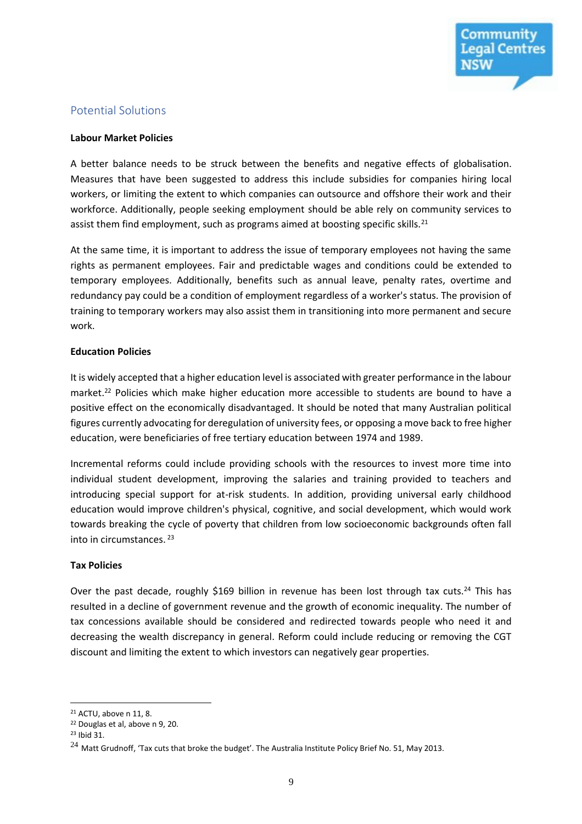

#### Potential Solutions

#### **Labour Market Policies**

A better balance needs to be struck between the benefits and negative effects of globalisation. Measures that have been suggested to address this include subsidies for companies hiring local workers, or limiting the extent to which companies can outsource and offshore their work and their workforce. Additionally, people seeking employment should be able rely on community services to assist them find employment, such as programs aimed at boosting specific skills.<sup>21</sup>

At the same time, it is important to address the issue of temporary employees not having the same rights as permanent employees. Fair and predictable wages and conditions could be extended to temporary employees. Additionally, benefits such as annual leave, penalty rates, overtime and redundancy pay could be a condition of employment regardless of a worker's status. The provision of training to temporary workers may also assist them in transitioning into more permanent and secure work.

#### **Education Policies**

It is widely accepted that a higher education level is associated with greater performance in the labour market.<sup>22</sup> Policies which make higher education more accessible to students are bound to have a positive effect on the economically disadvantaged. It should be noted that many Australian political figures currently advocating for deregulation of university fees, or opposing a move back to free higher education, were beneficiaries of free tertiary education between 1974 and 1989.

Incremental reforms could include providing schools with the resources to invest more time into individual student development, improving the salaries and training provided to teachers and introducing special support for at-risk students. In addition, providing universal early childhood education would improve children's physical, cognitive, and social development, which would work towards breaking the cycle of poverty that children from low socioeconomic backgrounds often fall into in circumstances. <sup>23</sup>

#### **Tax Policies**

Over the past decade, roughly \$169 billion in revenue has been lost through tax cuts.<sup>24</sup> This has resulted in a decline of government revenue and the growth of economic inequality. The number of tax concessions available should be considered and redirected towards people who need it and decreasing the wealth discrepancy in general. Reform could include reducing or removing the CGT discount and limiting the extent to which investors can negatively gear properties.

<sup>21</sup> ACTU, above n 11, 8.

<sup>22</sup> Douglas et al, above n 9, 20.

<sup>23</sup> Ibid 31.

 $^{24}$  Matt Grudnoff, 'Tax cuts that broke the budget'. The Australia Institute Policy Brief No. 51, May 2013.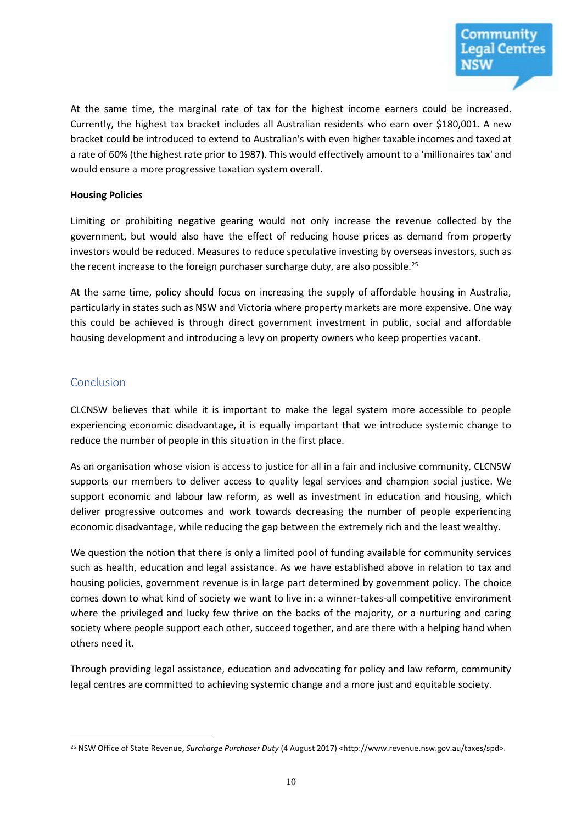At the same time, the marginal rate of tax for the highest income earners could be increased. Currently, the highest tax bracket includes all Australian residents who earn over \$180,001. A new bracket could be introduced to extend to Australian's with even higher taxable incomes and taxed at a rate of 60% (the highest rate prior to 1987). This would effectively amount to a 'millionaires tax' and would ensure a more progressive taxation system overall.

#### **Housing Policies**

Limiting or prohibiting negative gearing would not only increase the revenue collected by the government, but would also have the effect of reducing house prices as demand from property investors would be reduced. Measures to reduce speculative investing by overseas investors, such as the recent increase to the foreign purchaser surcharge duty, are also possible.<sup>25</sup>

At the same time, policy should focus on increasing the supply of affordable housing in Australia, particularly in states such as NSW and Victoria where property markets are more expensive. One way this could be achieved is through direct government investment in public, social and affordable housing development and introducing a levy on property owners who keep properties vacant.

#### Conclusion

CLCNSW believes that while it is important to make the legal system more accessible to people experiencing economic disadvantage, it is equally important that we introduce systemic change to reduce the number of people in this situation in the first place.

As an organisation whose vision is access to justice for all in a fair and inclusive community, CLCNSW supports our members to deliver access to quality legal services and champion social justice. We support economic and labour law reform, as well as investment in education and housing, which deliver progressive outcomes and work towards decreasing the number of people experiencing economic disadvantage, while reducing the gap between the extremely rich and the least wealthy.

We question the notion that there is only a limited pool of funding available for community services such as health, education and legal assistance. As we have established above in relation to tax and housing policies, government revenue is in large part determined by government policy. The choice comes down to what kind of society we want to live in: a winner-takes-all competitive environment where the privileged and lucky few thrive on the backs of the majority, or a nurturing and caring society where people support each other, succeed together, and are there with a helping hand when others need it.

Through providing legal assistance, education and advocating for policy and law reform, community legal centres are committed to achieving systemic change and a more just and equitable society.

 $\overline{a}$ <sup>25</sup> NSW Office of State Revenue, *Surcharge Purchaser Duty* (4 August 2017) <http://www.revenue.nsw.gov.au/taxes/spd>.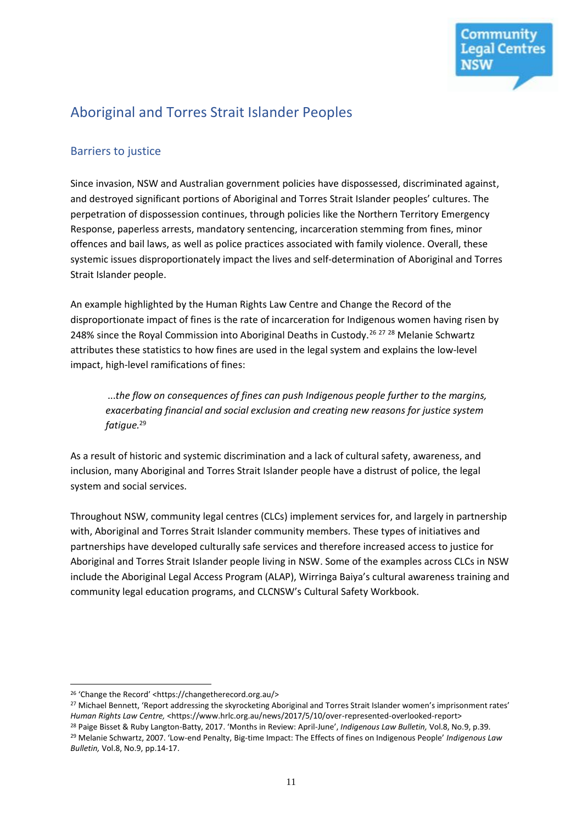

# Aboriginal and Torres Strait Islander Peoples

#### Barriers to justice

Since invasion, NSW and Australian government policies have dispossessed, discriminated against, and destroyed significant portions of Aboriginal and Torres Strait Islander peoples' cultures. The perpetration of dispossession continues, through policies like the Northern Territory Emergency Response, paperless arrests, mandatory sentencing, incarceration stemming from fines, minor offences and bail laws, as well as police practices associated with family violence. Overall, these systemic issues disproportionately impact the lives and self-determination of Aboriginal and Torres Strait Islander people.

An example highlighted by the Human Rights Law Centre and Change the Record of the disproportionate impact of fines is the rate of incarceration for Indigenous women having risen by 248% since the Royal Commission into Aboriginal Deaths in Custody.<sup>26 27 28</sup> Melanie Schwartz attributes these statistics to how fines are used in the legal system and explains the low-level impact, high-level ramifications of fines:

...*the flow on consequences of fines can push Indigenous people further to the margins, exacerbating financial and social exclusion and creating new reasons for justice system fatigue.*<sup>29</sup>

As a result of historic and systemic discrimination and a lack of cultural safety, awareness, and inclusion, many Aboriginal and Torres Strait Islander people have a distrust of police, the legal system and social services.

Throughout NSW, community legal centres (CLCs) implement services for, and largely in partnership with, Aboriginal and Torres Strait Islander community members. These types of initiatives and partnerships have developed culturally safe services and therefore increased access to justice for Aboriginal and Torres Strait Islander people living in NSW. Some of the examples across CLCs in NSW include the Aboriginal Legal Access Program (ALAP), Wirringa Baiya's cultural awareness training and community legal education programs, and CLCNSW's Cultural Safety Workbook.

<sup>26</sup> 'Change the Record' <https://changetherecord.org.au/>

<sup>&</sup>lt;sup>27</sup> Michael Bennett, 'Report addressing the skyrocketing Aboriginal and Torres Strait Islander women's imprisonment rates' Human Rights Law Centre, <https://www.hrlc.org.au/news/2017/5/10/over-represented-overlooked-report>

<sup>28</sup> Paige Bisset & Ruby Langton-Batty, 2017. 'Months in Review: April-June', *Indigenous Law Bulletin,* Vol.8, No.9, p.39. <sup>29</sup> Melanie Schwartz, 2007. 'Low-end Penalty, Big-time Impact: The Effects of fines on Indigenous People' *Indigenous Law Bulletin,* Vol.8, No.9, pp.14-17.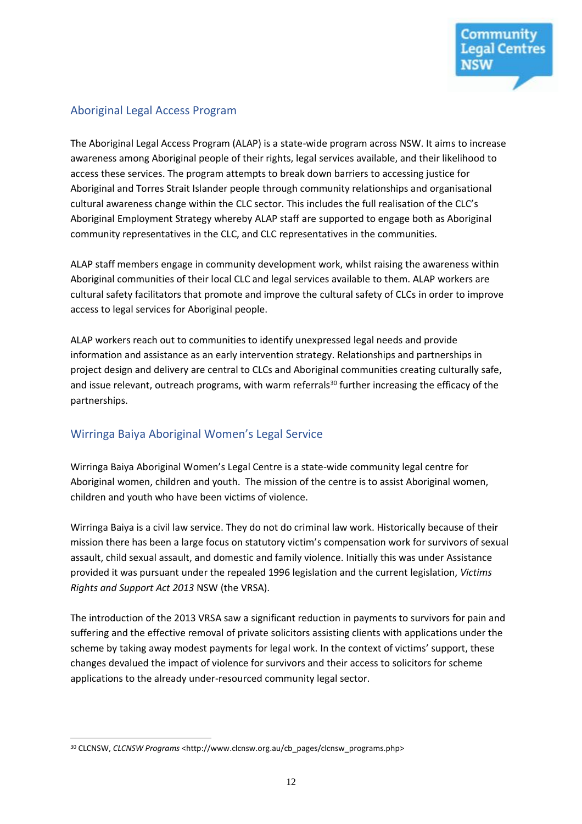#### Aboriginal Legal Access Program

The Aboriginal Legal Access Program (ALAP) is a state-wide program across NSW. It aims to increase awareness among Aboriginal people of their rights, legal services available, and their likelihood to access these services. The program attempts to break down barriers to accessing justice for Aboriginal and Torres Strait Islander people through community relationships and organisational cultural awareness change within the CLC sector. This includes the full realisation of the CLC's Aboriginal Employment Strategy whereby ALAP staff are supported to engage both as Aboriginal community representatives in the CLC, and CLC representatives in the communities.

ALAP staff members engage in community development work, whilst raising the awareness within Aboriginal communities of their local CLC and legal services available to them. ALAP workers are cultural safety facilitators that promote and improve the cultural safety of CLCs in order to improve access to legal services for Aboriginal people.

ALAP workers reach out to communities to identify unexpressed legal needs and provide information and assistance as an early intervention strategy. Relationships and partnerships in project design and delivery are central to CLCs and Aboriginal communities creating culturally safe, and issue relevant, outreach programs, with warm referrals<sup>30</sup> further increasing the efficacy of the partnerships.

### Wirringa Baiya Aboriginal Women's Legal Service

Wirringa Baiya Aboriginal Women's Legal Centre is a state-wide community legal centre for Aboriginal women, children and youth. The mission of the centre is to assist Aboriginal women, children and youth who have been victims of violence.

Wirringa Baiya is a civil law service. They do not do criminal law work. Historically because of their mission there has been a large focus on statutory victim's compensation work for survivors of sexual assault, child sexual assault, and domestic and family violence. Initially this was under Assistance provided it was pursuant under the repealed 1996 legislation and the current legislation, *Victims Rights and Support Act 2013* NSW (the VRSA).

The introduction of the 2013 VRSA saw a significant reduction in payments to survivors for pain and suffering and the effective removal of private solicitors assisting clients with applications under the scheme by taking away modest payments for legal work. In the context of victims' support, these changes devalued the impact of violence for survivors and their access to solicitors for scheme applications to the already under-resourced community legal sector.

 $\overline{a}$ <sup>30</sup> CLCNSW, *CLCNSW Programs* <http://www.clcnsw.org.au/cb\_pages/clcnsw\_programs.php>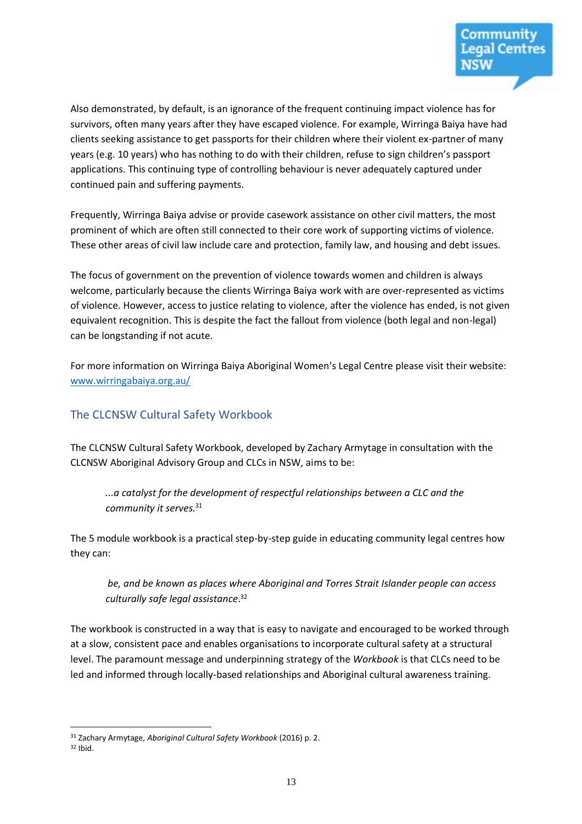

Also demonstrated, by default, is an ignorance of the frequent continuing impact violence has for survivors, often many years after they have escaped violence. For example, Wirringa Baiya have had clients seeking assistance to get passports for their children where their violent ex-partner of many years (e.g. 10 years) who has nothing to do with their children, refuse to sign children's passport applications. This continuing type of controlling behaviour is never adequately captured under continued pain and suffering payments.

Frequently, Wirringa Baiya advise or provide casework assistance on other civil matters, the most prominent of which are often still connected to their core work of supporting victims of violence. These other areas of civil law include care and protection, family law, and housing and debt issues.

The focus of government on the prevention of violence towards women and children is always welcome, particularly because the clients Wirringa Baiya work with are over-represented as victims of violence. However, access to justice relating to violence, after the violence has ended, is not given equivalent recognition. This is despite the fact the fallout from violence (both legal and non-legal) can be longstanding if not acute.

For more information on Wirringa Baiya Aboriginal Women's Legal Centre please visit their website: [www.wirringabaiya.org.au/](http://www.wirringabaiya.org.au/)

#### The CLCNSW Cultural Safety Workbook

The CLCNSW Cultural Safety Workbook, developed by Zachary Armytage in consultation with the CLCNSW Aboriginal Advisory Group and CLCs in NSW, aims to be:

*...a catalyst for the development of respectful relationships between a CLC and the community it serves.*<sup>31</sup>

The 5 module workbook is a practical step-by-step guide in educating community legal centres how they can:

*be, and be known as places where Aboriginal and Torres Strait Islander people can access culturally safe legal assistance*. 32

The workbook is constructed in a way that is easy to navigate and encouraged to be worked through at a slow, consistent pace and enables organisations to incorporate cultural safety at a structural level. The paramount message and underpinning strategy of the *Workbook* is that CLCs need to be led and informed through locally-based relationships and Aboriginal cultural awareness training.

 $\overline{a}$ <sup>31</sup> Zachary Armytage, *Aboriginal Cultural Safety Workbook* (2016) p. 2.

 $32$  Ibid.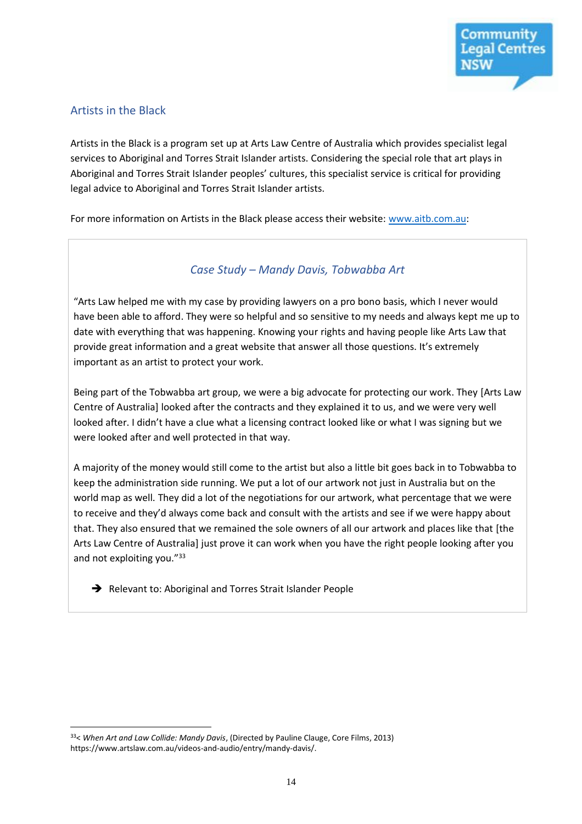#### Artists in the Black

Artists in the Black is a program set up at Arts Law Centre of Australia which provides specialist legal services to Aboriginal and Torres Strait Islander artists. Considering the special role that art plays in Aboriginal and Torres Strait Islander peoples' cultures, this specialist service is critical for providing legal advice to Aboriginal and Torres Strait Islander artists.

For more information on Artists in the Black please access their website: [www.aitb.com.au:](http://www.aitb.com.au/)

#### *Case Study – Mandy Davis, Tobwabba Art*

"Arts Law helped me with my case by providing lawyers on a pro bono basis, which I never would have been able to afford. They were so helpful and so sensitive to my needs and always kept me up to date with everything that was happening. Knowing your rights and having people like Arts Law that provide great information and a great website that answer all those questions. It's extremely important as an artist to protect your work.

Being part of the Tobwabba art group, we were a big advocate for protecting our work. They [Arts Law Centre of Australia] looked after the contracts and they explained it to us, and we were very well looked after. I didn't have a clue what a licensing contract looked like or what I was signing but we were looked after and well protected in that way.

A majority of the money would still come to the artist but also a little bit goes back in to Tobwabba to keep the administration side running. We put a lot of our artwork not just in Australia but on the world map as well. They did a lot of the negotiations for our artwork, what percentage that we were to receive and they'd always come back and consult with the artists and see if we were happy about that. They also ensured that we remained the sole owners of all our artwork and places like that [the Arts Law Centre of Australia] just prove it can work when you have the right people looking after you and not exploiting you."33

Relevant to: Aboriginal and Torres Strait Islander People

 $\overline{a}$ <sup>33</sup>< *When Art and Law Collide: Mandy Davis*, (Directed by Pauline Clauge, Core Films, 2013) https://www.artslaw.com.au/videos-and-audio/entry/mandy-davis/.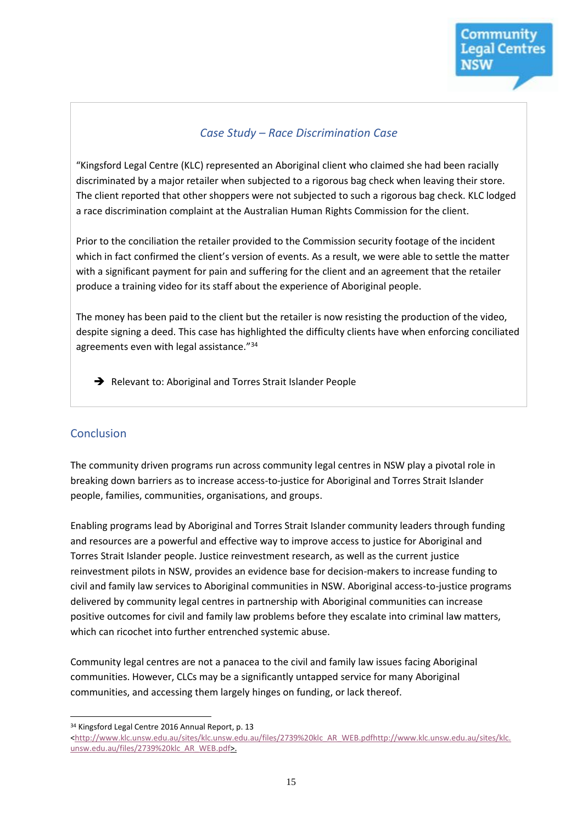#### *Case Study – Race Discrimination Case*

"Kingsford Legal Centre (KLC) represented an Aboriginal client who claimed she had been racially discriminated by a major retailer when subjected to a rigorous bag check when leaving their store. The client reported that other shoppers were not subjected to such a rigorous bag check. KLC lodged a race discrimination complaint at the Australian Human Rights Commission for the client.

Prior to the conciliation the retailer provided to the Commission security footage of the incident which in fact confirmed the client's version of events. As a result, we were able to settle the matter with a significant payment for pain and suffering for the client and an agreement that the retailer produce a training video for its staff about the experience of Aboriginal people.

The money has been paid to the client but the retailer is now resisting the production of the video, despite signing a deed. This case has highlighted the difficulty clients have when enforcing conciliated agreements even with legal assistance."<sup>34</sup>

Relevant to: Aboriginal and Torres Strait Islander People

#### **Conclusion**

 $\overline{a}$ 

The community driven programs run across community legal centres in NSW play a pivotal role in breaking down barriers as to increase access-to-justice for Aboriginal and Torres Strait Islander people, families, communities, organisations, and groups.

Enabling programs lead by Aboriginal and Torres Strait Islander community leaders through funding and resources are a powerful and effective way to improve access to justice for Aboriginal and Torres Strait Islander people. Justice reinvestment research, as well as the current justice reinvestment pilots in NSW, provides an evidence base for decision-makers to increase funding to civil and family law services to Aboriginal communities in NSW. Aboriginal access-to-justice programs delivered by community legal centres in partnership with Aboriginal communities can increase positive outcomes for civil and family law problems before they escalate into criminal law matters, which can ricochet into further entrenched systemic abuse.

Community legal centres are not a panacea to the civil and family law issues facing Aboriginal communities. However, CLCs may be a significantly untapped service for many Aboriginal communities, and accessing them largely hinges on funding, or lack thereof.

<sup>34</sup> Kingsford Legal Centre 2016 Annual Report, p. 13

[<sup>&</sup>lt;http://www.klc.unsw.edu.au/sites/klc.unsw.edu.au/files/2739%20klc\\_AR\\_WEB.pdfhttp://www.klc.unsw.edu.au/sites/klc.](http://www.klc.unsw.edu.au/sites/klc.unsw.edu.au/files/2739%20klc_AR_WEB.pdf) [unsw.edu.au/files/2739%20klc\\_AR\\_WEB.pdf>](http://www.klc.unsw.edu.au/sites/klc.unsw.edu.au/files/2739%20klc_AR_WEB.pdf).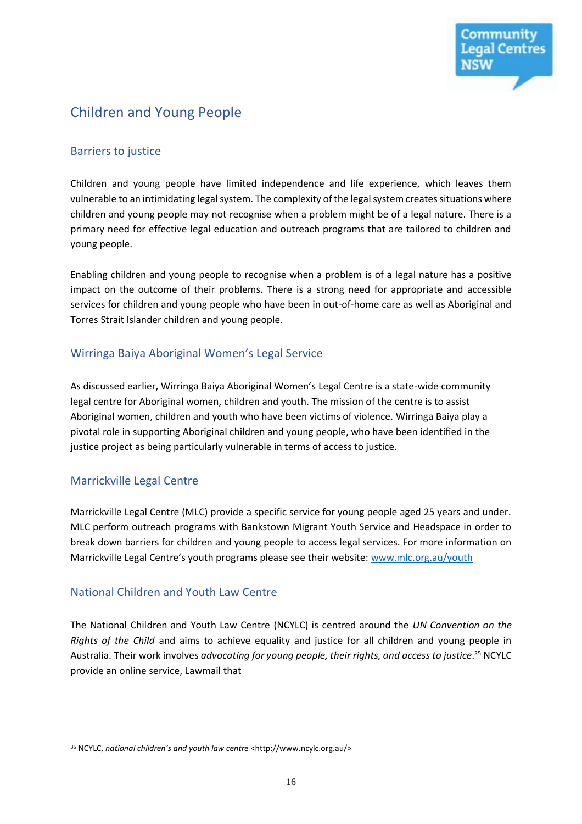

# Children and Young People

#### Barriers to justice

Children and young people have limited independence and life experience, which leaves them vulnerable to an intimidating legal system. The complexity of the legal system creates situations where children and young people may not recognise when a problem might be of a legal nature. There is a primary need for effective legal education and outreach programs that are tailored to children and young people.

Enabling children and young people to recognise when a problem is of a legal nature has a positive impact on the outcome of their problems. There is a strong need for appropriate and accessible services for children and young people who have been in out-of-home care as well as Aboriginal and Torres Strait Islander children and young people.

#### Wirringa Baiya Aboriginal Women's Legal Service

As discussed earlier, Wirringa Baiya Aboriginal Women's Legal Centre is a state-wide community legal centre for Aboriginal women, children and youth. The mission of the centre is to assist Aboriginal women, children and youth who have been victims of violence. Wirringa Baiya play a pivotal role in supporting Aboriginal children and young people, who have been identified in the justice project as being particularly vulnerable in terms of access to justice.

#### Marrickville Legal Centre

 $\overline{a}$ 

Marrickville Legal Centre (MLC) provide a specific service for young people aged 25 years and under. MLC perform outreach programs with Bankstown Migrant Youth Service and Headspace in order to break down barriers for children and young people to access legal services. For more information on Marrickville Legal Centre's youth programs please see their website: [www.mlc.org.au/youth](http://www.mlc.org.au/youth) 

#### National Children and Youth Law Centre

The National Children and Youth Law Centre (NCYLC) is centred around the *UN Convention on the Rights of the Child* and aims to achieve equality and justice for all children and young people in Australia. Their work involves *advocating for young people, their rights, and access to justice*. <sup>35</sup> NCYLC provide an online service, Lawmail that

<sup>35</sup> NCYLC, *national children's and youth law centre* <http://www.ncylc.org.au/>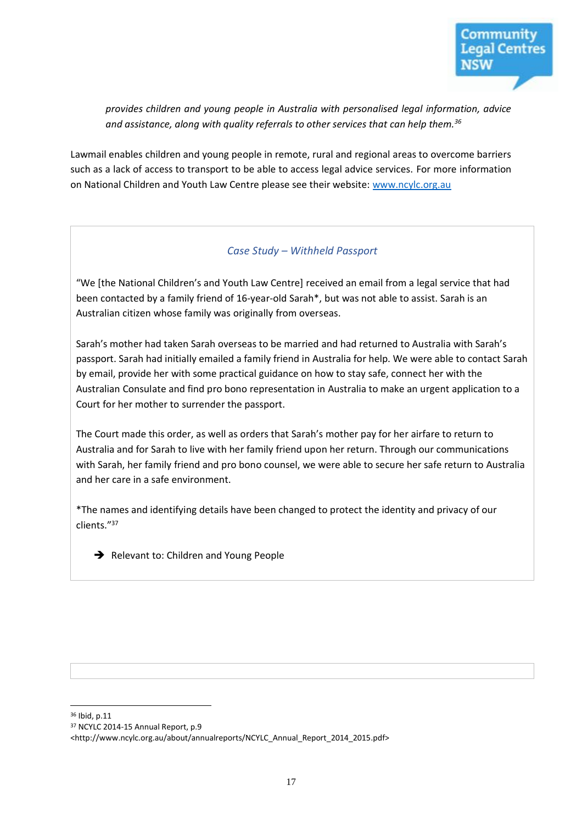

*provides children and young people in Australia with personalised legal information, advice and assistance, along with quality referrals to other services that can help them.<sup>36</sup>*

Lawmail enables children and young people in remote, rural and regional areas to overcome barriers such as a lack of access to transport to be able to access legal advice services. For more information on National Children and Youth Law Centre please see their website: [www.ncylc.org.au](http://www.ncylc.org.au/)

#### *Case Study – Withheld Passport*

"We [the National Children's and Youth Law Centre] received an email from a legal service that had been contacted by a family friend of 16-year-old Sarah\*, but was not able to assist. Sarah is an Australian citizen whose family was originally from overseas.

Sarah's mother had taken Sarah overseas to be married and had returned to Australia with Sarah's passport. Sarah had initially emailed a family friend in Australia for help. We were able to contact Sarah by email, provide her with some practical guidance on how to stay safe, connect her with the Australian Consulate and find pro bono representation in Australia to make an urgent application to a Court for her mother to surrender the passport.

The Court made this order, as well as orders that Sarah's mother pay for her airfare to return to Australia and for Sarah to live with her family friend upon her return. Through our communications with Sarah, her family friend and pro bono counsel, we were able to secure her safe return to Australia and her care in a safe environment.

\*The names and identifying details have been changed to protect the identity and privacy of our clients."<sup>37</sup>

 $\rightarrow$  Relevant to: Children and Young People

<sup>36</sup> Ibid, p.11

<sup>37</sup> NCYLC 2014-15 Annual Report, p.9

<sup>&</sup>lt;http://www.ncylc.org.au/about/annualreports/NCYLC\_Annual\_Report\_2014\_2015.pdf>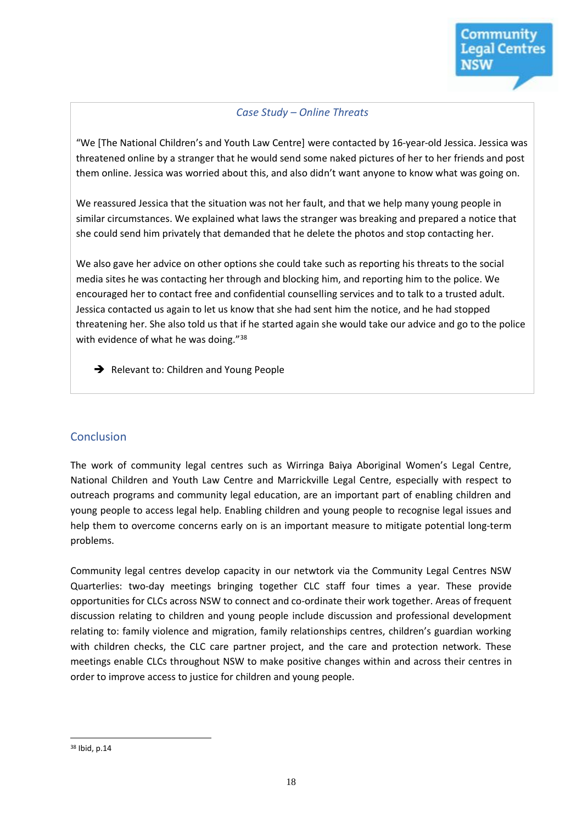#### *Case Study – Online Threats*

"We [The National Children's and Youth Law Centre] were contacted by 16-year-old Jessica. Jessica was threatened online by a stranger that he would send some naked pictures of her to her friends and post them online. Jessica was worried about this, and also didn't want anyone to know what was going on.

We reassured Jessica that the situation was not her fault, and that we help many young people in similar circumstances. We explained what laws the stranger was breaking and prepared a notice that she could send him privately that demanded that he delete the photos and stop contacting her.

We also gave her advice on other options she could take such as reporting his threats to the social media sites he was contacting her through and blocking him, and reporting him to the police. We encouraged her to contact free and confidential counselling services and to talk to a trusted adult. Jessica contacted us again to let us know that she had sent him the notice, and he had stopped threatening her. She also told us that if he started again she would take our advice and go to the police with evidence of what he was doing."<sup>38</sup>

Relevant to: Children and Young People

#### **Conclusion**

The work of community legal centres such as Wirringa Baiya Aboriginal Women's Legal Centre, National Children and Youth Law Centre and Marrickville Legal Centre, especially with respect to outreach programs and community legal education, are an important part of enabling children and young people to access legal help. Enabling children and young people to recognise legal issues and help them to overcome concerns early on is an important measure to mitigate potential long-term problems.

Community legal centres develop capacity in our netwtork via the Community Legal Centres NSW Quarterlies: two-day meetings bringing together CLC staff four times a year. These provide opportunities for CLCs across NSW to connect and co-ordinate their work together. Areas of frequent discussion relating to children and young people include discussion and professional development relating to: family violence and migration, family relationships centres, children's guardian working with children checks, the CLC care partner project, and the care and protection network. These meetings enable CLCs throughout NSW to make positive changes within and across their centres in order to improve access to justice for children and young people.

 $\overline{a}$ <sup>38</sup> Ibid, p.14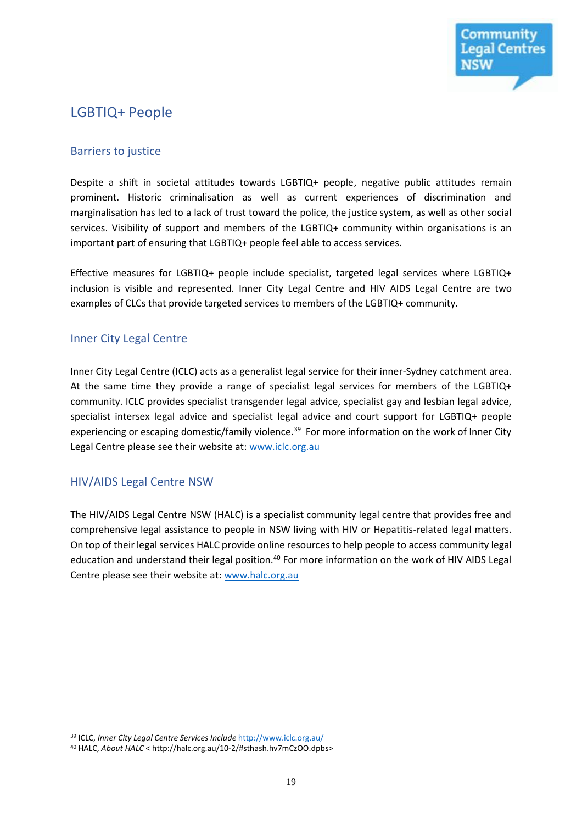

## LGBTIQ+ People

#### Barriers to justice

Despite a shift in societal attitudes towards LGBTIQ+ people, negative public attitudes remain prominent. Historic criminalisation as well as current experiences of discrimination and marginalisation has led to a lack of trust toward the police, the justice system, as well as other social services. Visibility of support and members of the LGBTIQ+ community within organisations is an important part of ensuring that LGBTIQ+ people feel able to access services.

Effective measures for LGBTIQ+ people include specialist, targeted legal services where LGBTIQ+ inclusion is visible and represented. Inner City Legal Centre and HIV AIDS Legal Centre are two examples of CLCs that provide targeted services to members of the LGBTIQ+ community.

#### Inner City Legal Centre

Inner City Legal Centre (ICLC) acts as a generalist legal service for their inner-Sydney catchment area. At the same time they provide a range of specialist legal services for members of the LGBTIQ+ community. ICLC provides specialist transgender legal advice, specialist gay and lesbian legal advice, specialist intersex legal advice and specialist legal advice and court support for LGBTIQ+ people experiencing or escaping domestic/family violence.<sup>39</sup> For more information on the work of Inner City Legal Centre please see their website at: [www.iclc.org.au](http://www.iclc.org.au/)

#### HIV/AIDS Legal Centre NSW

 $\overline{a}$ 

The HIV/AIDS Legal Centre NSW (HALC) is a specialist community legal centre that provides free and comprehensive legal assistance to people in NSW living with HIV or Hepatitis-related legal matters. On top of their legal services HALC provide online resources to help people to access community legal education and understand their legal position.<sup>40</sup> For more information on the work of HIV AIDS Legal Centre please see their website at: [www.halc.org.au](http://www.halc.org.au/)

<sup>39</sup> ICLC, *Inner City Legal Centre Services Include* <http://www.iclc.org.au/>

<sup>40</sup> HALC, *About HALC* < http://halc.org.au/10-2/#sthash.hv7mCzOO.dpbs>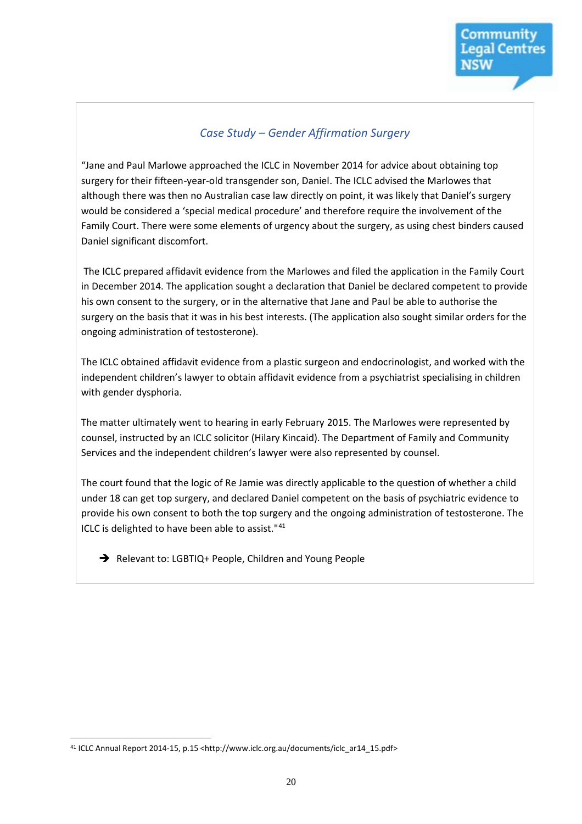#### *Case Study – Gender Affirmation Surgery*

"Jane and Paul Marlowe approached the ICLC in November 2014 for advice about obtaining top surgery for their fifteen-year-old transgender son, Daniel. The ICLC advised the Marlowes that although there was then no Australian case law directly on point, it was likely that Daniel's surgery would be considered a 'special medical procedure' and therefore require the involvement of the Family Court. There were some elements of urgency about the surgery, as using chest binders caused Daniel significant discomfort.

The ICLC prepared affidavit evidence from the Marlowes and filed the application in the Family Court in December 2014. The application sought a declaration that Daniel be declared competent to provide his own consent to the surgery, or in the alternative that Jane and Paul be able to authorise the surgery on the basis that it was in his best interests. (The application also sought similar orders for the ongoing administration of testosterone).

The ICLC obtained affidavit evidence from a plastic surgeon and endocrinologist, and worked with the independent children's lawyer to obtain affidavit evidence from a psychiatrist specialising in children with gender dysphoria.

The matter ultimately went to hearing in early February 2015. The Marlowes were represented by counsel, instructed by an ICLC solicitor (Hilary Kincaid). The Department of Family and Community Services and the independent children's lawyer were also represented by counsel.

The court found that the logic of Re Jamie was directly applicable to the question of whether a child under 18 can get top surgery, and declared Daniel competent on the basis of psychiatric evidence to provide his own consent to both the top surgery and the ongoing administration of testosterone. The ICLC is delighted to have been able to assist."<sup>41</sup>

Relevant to: LGBTIQ+ People, Children and Young People

<sup>41</sup> ICLC Annual Report 2014-15, p.15 <http://www.iclc.org.au/documents/iclc\_ar14\_15.pdf>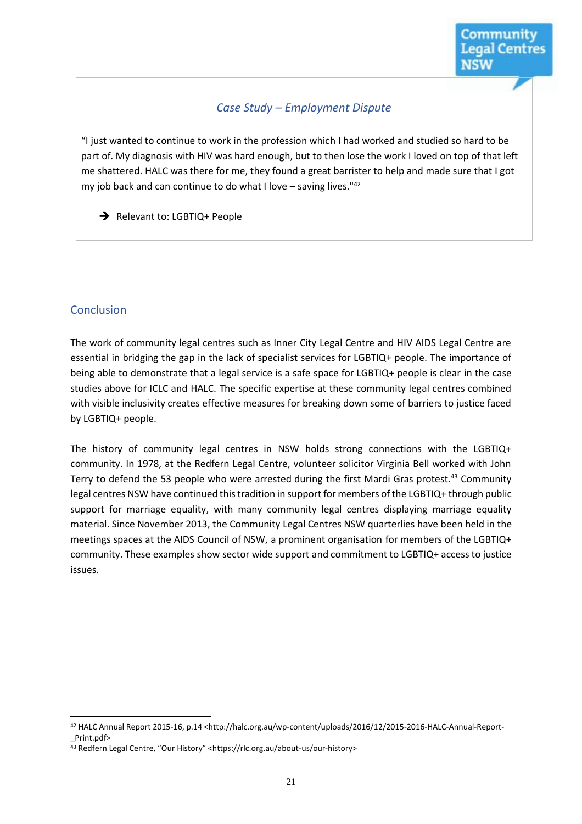#### *Case Study – Employment Dispute*

"I just wanted to continue to work in the profession which I had worked and studied so hard to be part of. My diagnosis with HIV was hard enough, but to then lose the work I loved on top of that left me shattered. HALC was there for me, they found a great barrister to help and made sure that I got my job back and can continue to do what I love – saving lives." $42$ 

Relevant to: LGBTIQ+ People

#### Conclusion

 $\overline{a}$ 

The work of community legal centres such as Inner City Legal Centre and HIV AIDS Legal Centre are essential in bridging the gap in the lack of specialist services for LGBTIQ+ people. The importance of being able to demonstrate that a legal service is a safe space for LGBTIQ+ people is clear in the case studies above for ICLC and HALC. The specific expertise at these community legal centres combined with visible inclusivity creates effective measures for breaking down some of barriers to justice faced by LGBTIQ+ people.

The history of community legal centres in NSW holds strong connections with the LGBTIQ+ community. In 1978, at the Redfern Legal Centre, volunteer solicitor Virginia Bell worked with John Terry to defend the 53 people who were arrested during the first Mardi Gras protest.<sup>43</sup> Community legal centres NSW have continued this tradition in support for members of the LGBTIQ+ through public support for marriage equality, with many community legal centres displaying marriage equality material. Since November 2013, the Community Legal Centres NSW quarterlies have been held in the meetings spaces at the AIDS Council of NSW, a prominent organisation for members of the LGBTIQ+ community. These examples show sector wide support and commitment to LGBTIQ+ access to justice issues.

<sup>42</sup> HALC Annual Report 2015-16, p.14 <http://halc.org.au/wp-content/uploads/2016/12/2015-2016-HALC-Annual-Report- \_Print.pdf>

<sup>43</sup> Redfern Legal Centre, "Our History" <https://rlc.org.au/about-us/our-history>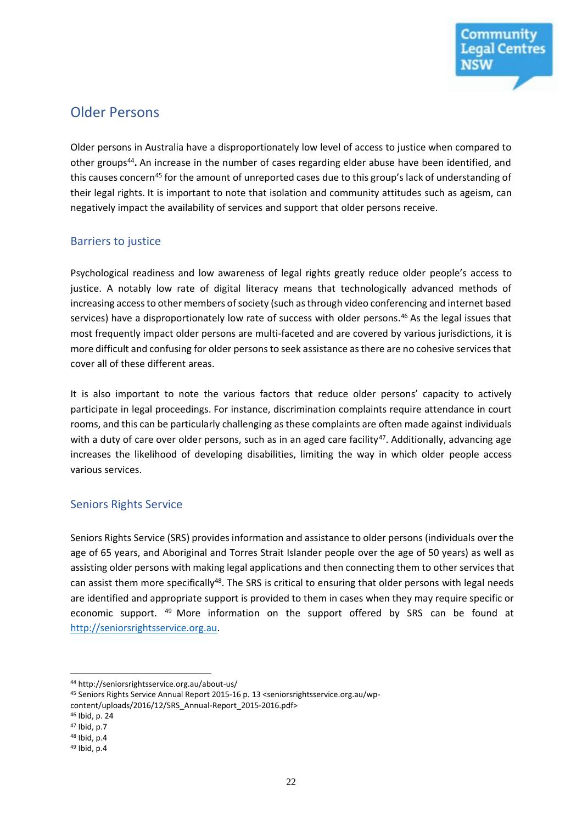

### Older Persons

Older persons in Australia have a disproportionately low level of access to justice when compared to other groups<sup>44</sup>. An increase in the number of cases regarding elder abuse have been identified, and this causes concern<sup>45</sup> for the amount of unreported cases due to this group's lack of understanding of their legal rights. It is important to note that isolation and community attitudes such as ageism, can negatively impact the availability of services and support that older persons receive.

#### Barriers to justice

Psychological readiness and low awareness of legal rights greatly reduce older people's access to justice. A notably low rate of digital literacy means that technologically advanced methods of increasing access to other members of society (such as through video conferencing and internet based services) have a disproportionately low rate of success with older persons.<sup>46</sup> As the legal issues that most frequently impact older persons are multi-faceted and are covered by various jurisdictions, it is more difficult and confusing for older persons to seek assistance as there are no cohesive services that cover all of these different areas.

It is also important to note the various factors that reduce older persons' capacity to actively participate in legal proceedings. For instance, discrimination complaints require attendance in court rooms, and this can be particularly challenging as these complaints are often made against individuals with a duty of care over older persons, such as in an aged care facility<sup>47</sup>. Additionally, advancing age increases the likelihood of developing disabilities, limiting the way in which older people access various services.

#### Seniors Rights Service

Seniors Rights Service (SRS) provides information and assistance to older persons (individuals over the age of 65 years, and Aboriginal and Torres Strait Islander people over the age of 50 years) as well as assisting older persons with making legal applications and then connecting them to other services that can assist them more specifically<sup>48</sup>. The SRS is critical to ensuring that older persons with legal needs are identified and appropriate support is provided to them in cases when they may require specific or economic support. <sup>49</sup> More information on the support offered by SRS can be found at [http://seniorsrightsservice.org.au.](http://seniorsrightsservice.org.au/) 

<sup>44</sup> http://seniorsrightsservice.org.au/about-us/

<sup>45</sup> Seniors Rights Service Annual Report 2015-16 p. 13 <seniorsrightsservice.org.au/wpcontent/uploads/2016/12/SRS\_Annual-Report\_2015-2016.pdf>

<sup>46</sup> Ibid, p. 24

<sup>47</sup> Ibid, p.7

<sup>48</sup> Ibid, p.4

<sup>49</sup> Ibid, p.4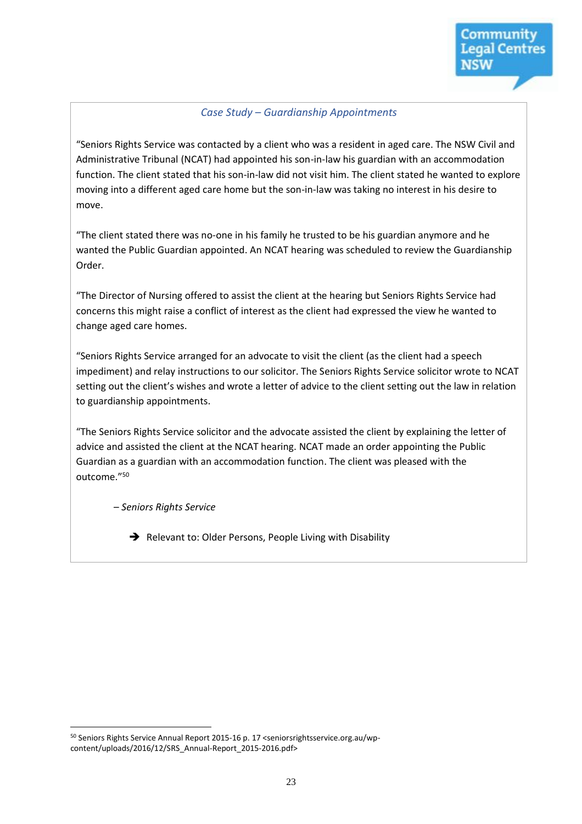#### *Case Study – Guardianship Appointments*

"Seniors Rights Service was contacted by a client who was a resident in aged care. The NSW Civil and Administrative Tribunal (NCAT) had appointed his son-in-law his guardian with an accommodation function. The client stated that his son-in-law did not visit him. The client stated he wanted to explore moving into a different aged care home but the son-in-law was taking no interest in his desire to move.

"The client stated there was no-one in his family he trusted to be his guardian anymore and he wanted the Public Guardian appointed. An NCAT hearing was scheduled to review the Guardianship Order.

"The Director of Nursing offered to assist the client at the hearing but Seniors Rights Service had concerns this might raise a conflict of interest as the client had expressed the view he wanted to change aged care homes.

"Seniors Rights Service arranged for an advocate to visit the client (as the client had a speech impediment) and relay instructions to our solicitor. The Seniors Rights Service solicitor wrote to NCAT setting out the client's wishes and wrote a letter of advice to the client setting out the law in relation to guardianship appointments.

"The Seniors Rights Service solicitor and the advocate assisted the client by explaining the letter of advice and assisted the client at the NCAT hearing. NCAT made an order appointing the Public Guardian as a guardian with an accommodation function. The client was pleased with the outcome."<sup>50</sup>

– *Seniors Rights Service*

 $\rightarrow$  Relevant to: Older Persons, People Living with Disability

 $\overline{a}$ <sup>50</sup> Seniors Rights Service Annual Report 2015-16 p. 17 <seniorsrightsservice.org.au/wpcontent/uploads/2016/12/SRS\_Annual-Report\_2015-2016.pdf>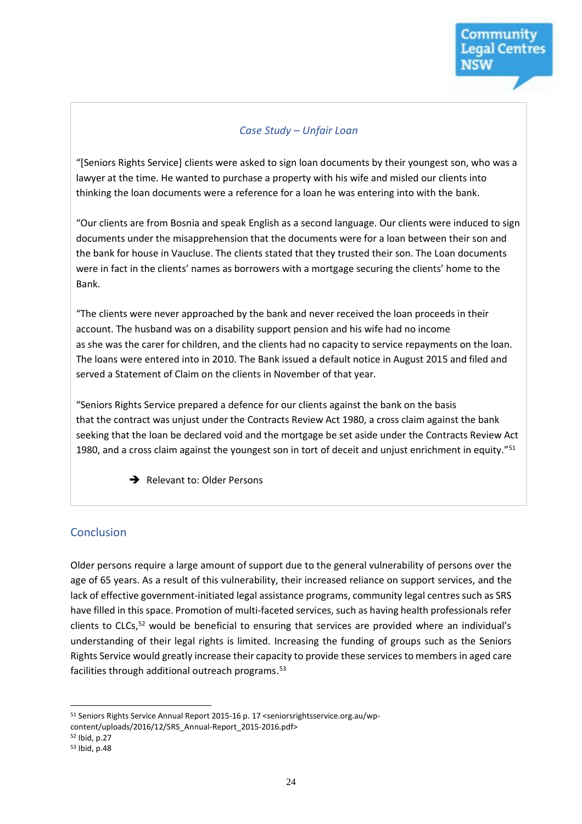#### *Case Study – Unfair Loan*

"[Seniors Rights Service] clients were asked to sign loan documents by their youngest son, who was a lawyer at the time. He wanted to purchase a property with his wife and misled our clients into thinking the loan documents were a reference for a loan he was entering into with the bank.

"Our clients are from Bosnia and speak English as a second language. Our clients were induced to sign documents under the misapprehension that the documents were for a loan between their son and the bank for house in Vaucluse. The clients stated that they trusted their son. The Loan documents were in fact in the clients' names as borrowers with a mortgage securing the clients' home to the Bank.

"The clients were never approached by the bank and never received the loan proceeds in their account. The husband was on a disability support pension and his wife had no income as she was the carer for children, and the clients had no capacity to service repayments on the loan. The loans were entered into in 2010. The Bank issued a default notice in August 2015 and filed and served a Statement of Claim on the clients in November of that year.

"Seniors Rights Service prepared a defence for our clients against the bank on the basis that the contract was unjust under the Contracts Review Act 1980, a cross claim against the bank seeking that the loan be declared void and the mortgage be set aside under the Contracts Review Act 1980, and a cross claim against the youngest son in tort of deceit and unjust enrichment in equity."<sup>51</sup>

Relevant to: Older Persons

#### Conclusion

Older persons require a large amount of support due to the general vulnerability of persons over the age of 65 years. As a result of this vulnerability, their increased reliance on support services, and the lack of effective government-initiated legal assistance programs, community legal centres such as SRS have filled in this space. Promotion of multi-faceted services, such as having health professionals refer clients to CLCs,<sup>52</sup> would be beneficial to ensuring that services are provided where an individual's understanding of their legal rights is limited. Increasing the funding of groups such as the Seniors Rights Service would greatly increase their capacity to provide these services to members in aged care facilities through additional outreach programs.<sup>53</sup>

 $\overline{a}$ <sup>51</sup> Seniors Rights Service Annual Report 2015-16 p. 17 <seniorsrightsservice.org.au/wp-

content/uploads/2016/12/SRS\_Annual-Report\_2015-2016.pdf> <sup>52</sup> Ibid, p.27

<sup>53</sup> Ibid, p.48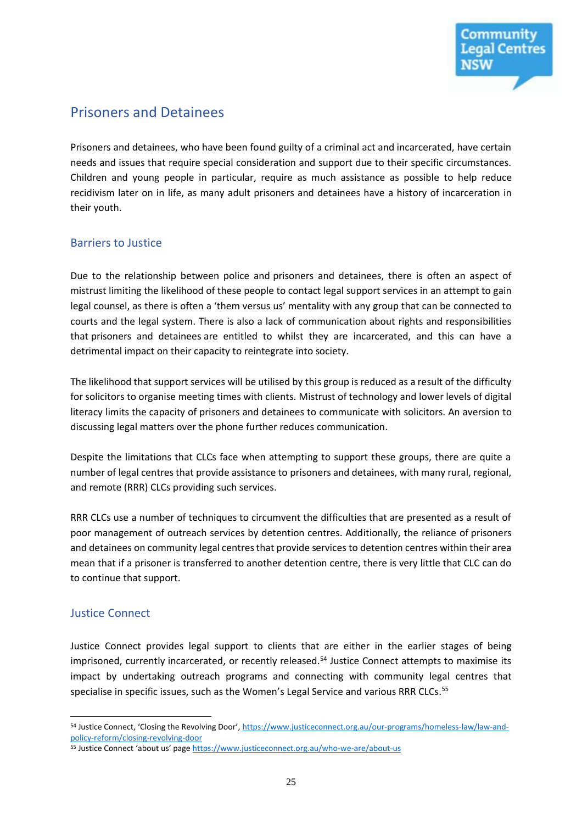

# Prisoners and Detainees

Prisoners and detainees, who have been found guilty of a criminal act and incarcerated, have certain needs and issues that require special consideration and support due to their specific circumstances. Children and young people in particular, require as much assistance as possible to help reduce recidivism later on in life, as many adult prisoners and detainees have a history of incarceration in their youth.

#### Barriers to Justice

Due to the relationship between police and prisoners and detainees, there is often an aspect of mistrust limiting the likelihood of these people to contact legal support services in an attempt to gain legal counsel, as there is often a 'them versus us' mentality with any group that can be connected to courts and the legal system. There is also a lack of communication about rights and responsibilities that prisoners and detainees are entitled to whilst they are incarcerated, and this can have a detrimental impact on their capacity to reintegrate into society.

The likelihood that support services will be utilised by this group is reduced as a result of the difficulty for solicitors to organise meeting times with clients. Mistrust of technology and lower levels of digital literacy limits the capacity of prisoners and detainees to communicate with solicitors. An aversion to discussing legal matters over the phone further reduces communication.

Despite the limitations that CLCs face when attempting to support these groups, there are quite a number of legal centres that provide assistance to prisoners and detainees, with many rural, regional, and remote (RRR) CLCs providing such services.

RRR CLCs use a number of techniques to circumvent the difficulties that are presented as a result of poor management of outreach services by detention centres. Additionally, the reliance of prisoners and detainees on community legal centres that provide services to detention centres within their area mean that if a prisoner is transferred to another detention centre, there is very little that CLC can do to continue that support.

#### Justice Connect

 $\overline{a}$ 

Justice Connect provides legal support to clients that are either in the earlier stages of being imprisoned, currently incarcerated, or recently released.<sup>54</sup> Justice Connect attempts to maximise its impact by undertaking outreach programs and connecting with community legal centres that specialise in specific issues, such as the Women's Legal Service and various RRR CLCs.<sup>55</sup>

<sup>54</sup> Justice Connect, 'Closing the Revolving Door', [https://www.justiceconnect.org.au/our-programs/homeless-law/law-and](https://www.justiceconnect.org.au/our-programs/homeless-law/law-and-policy-reform/closing-revolving-door)[policy-reform/closing-revolving-door](https://www.justiceconnect.org.au/our-programs/homeless-law/law-and-policy-reform/closing-revolving-door)

<sup>55</sup> Justice Connect 'about us' page <https://www.justiceconnect.org.au/who-we-are/about-us>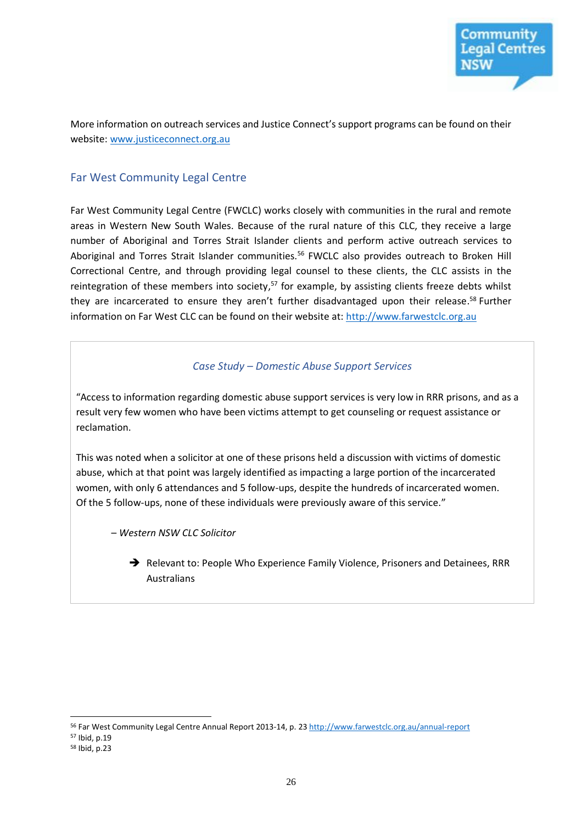

More information on outreach services and Justice Connect's support programs can be found on their website: [www.justiceconnect.org.au](http://www.justiceconnect.org.au/)

#### Far West Community Legal Centre

Far West Community Legal Centre (FWCLC) works closely with communities in the rural and remote areas in Western New South Wales. Because of the rural nature of this CLC, they receive a large number of Aboriginal and Torres Strait Islander clients and perform active outreach services to Aboriginal and Torres Strait Islander communities.<sup>56</sup> FWCLC also provides outreach to Broken Hill Correctional Centre, and through providing legal counsel to these clients, the CLC assists in the reintegration of these members into society,<sup>57</sup> for example, by assisting clients freeze debts whilst they are incarcerated to ensure they aren't further disadvantaged upon their release.<sup>58</sup> Further information on Far West CLC can be found on their website at[: http://www.farwestclc.org.au](http://www.farwestclc.org.au/)

#### *Case Study – Domestic Abuse Support Services*

"Access to information regarding domestic abuse support services is very low in RRR prisons, and as a result very few women who have been victims attempt to get counseling or request assistance or reclamation.

This was noted when a solicitor at one of these prisons held a discussion with victims of domestic abuse, which at that point was largely identified as impacting a large portion of the incarcerated women, with only 6 attendances and 5 follow-ups, despite the hundreds of incarcerated women. Of the 5 follow-ups, none of these individuals were previously aware of this service."

– *Western NSW CLC Solicitor*

→ Relevant to: People Who Experience Family Violence, Prisoners and Detainees, RRR Australians

<sup>56</sup> Far West Community Legal Centre Annual Report 2013-14, p. 2[3 http://www.farwestclc.org.au/annual-report](http://www.farwestclc.org.au/annual-report)

<sup>57</sup> Ibid, p.19

<sup>58</sup> Ibid, p.23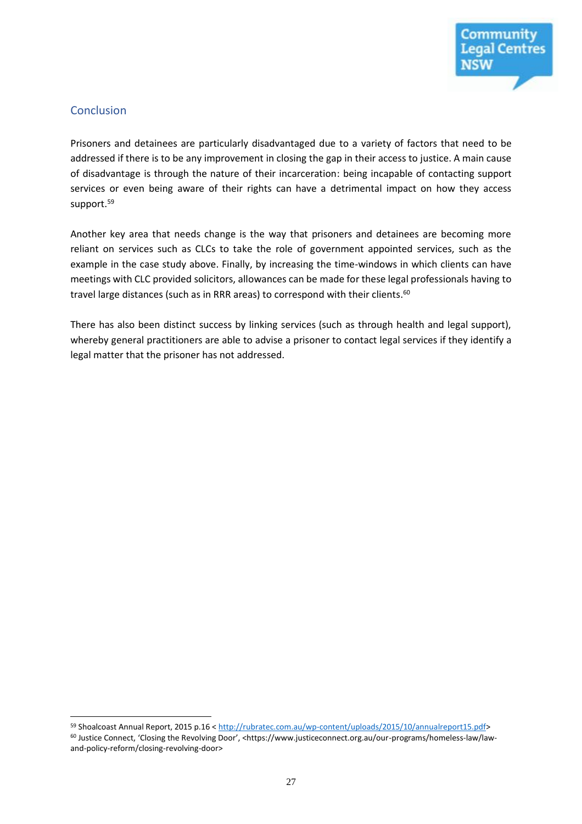

#### **Conclusion**

 $\overline{a}$ 

Prisoners and detainees are particularly disadvantaged due to a variety of factors that need to be addressed if there is to be any improvement in closing the gap in their access to justice. A main cause of disadvantage is through the nature of their incarceration: being incapable of contacting support services or even being aware of their rights can have a detrimental impact on how they access support.<sup>59</sup>

Another key area that needs change is the way that prisoners and detainees are becoming more reliant on services such as CLCs to take the role of government appointed services, such as the example in the case study above. Finally, by increasing the time-windows in which clients can have meetings with CLC provided solicitors, allowances can be made for these legal professionals having to travel large distances (such as in RRR areas) to correspond with their clients.<sup>60</sup>

There has also been distinct success by linking services (such as through health and legal support), whereby general practitioners are able to advise a prisoner to contact legal services if they identify a legal matter that the prisoner has not addressed.

<sup>59</sup> Shoalcoast Annual Report, 2015 p.16 [< http://rubratec.com.au/wp-content/uploads/2015/10/annualreport15.pdf>](http://rubratec.com.au/wp-content/uploads/2015/10/annualreport15.pdf) <sup>60</sup> Justice Connect, 'Closing the Revolving Door', <https://www.justiceconnect.org.au/our-programs/homeless-law/lawand-policy-reform/closing-revolving-door>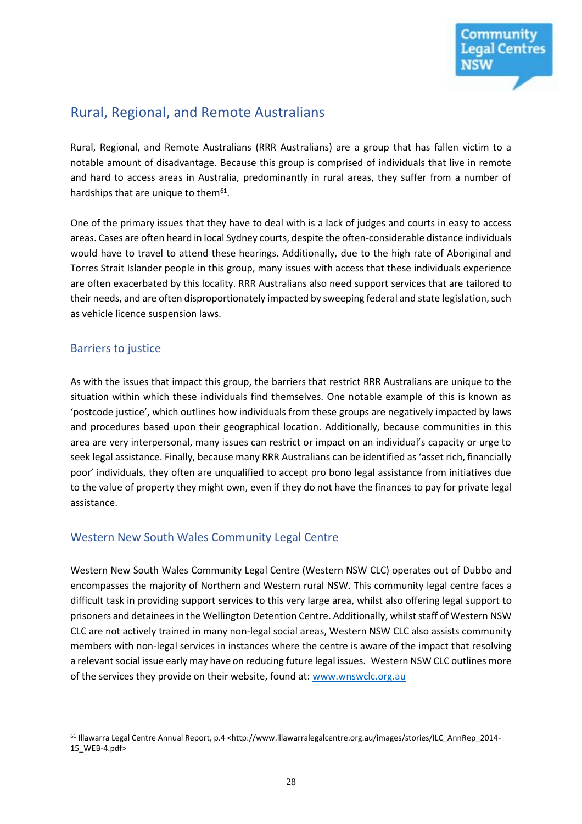

# Rural, Regional, and Remote Australians

Rural, Regional, and Remote Australians (RRR Australians) are a group that has fallen victim to a notable amount of disadvantage. Because this group is comprised of individuals that live in remote and hard to access areas in Australia, predominantly in rural areas, they suffer from a number of hardships that are unique to them<sup>61</sup>.

One of the primary issues that they have to deal with is a lack of judges and courts in easy to access areas. Cases are often heard in local Sydney courts, despite the often-considerable distance individuals would have to travel to attend these hearings. Additionally, due to the high rate of Aboriginal and Torres Strait Islander people in this group, many issues with access that these individuals experience are often exacerbated by this locality. RRR Australians also need support services that are tailored to their needs, and are often disproportionately impacted by sweeping federal and state legislation, such as vehicle licence suspension laws.

#### Barriers to justice

 $\overline{a}$ 

As with the issues that impact this group, the barriers that restrict RRR Australians are unique to the situation within which these individuals find themselves. One notable example of this is known as 'postcode justice', which outlines how individuals from these groups are negatively impacted by laws and procedures based upon their geographical location. Additionally, because communities in this area are very interpersonal, many issues can restrict or impact on an individual's capacity or urge to seek legal assistance. Finally, because many RRR Australians can be identified as 'asset rich, financially poor' individuals, they often are unqualified to accept pro bono legal assistance from initiatives due to the value of property they might own, even if they do not have the finances to pay for private legal assistance.

#### Western New South Wales Community Legal Centre

Western New South Wales Community Legal Centre (Western NSW CLC) operates out of Dubbo and encompasses the majority of Northern and Western rural NSW. This community legal centre faces a difficult task in providing support services to this very large area, whilst also offering legal support to prisoners and detainees in the Wellington Detention Centre. Additionally, whilst staff of Western NSW CLC are not actively trained in many non-legal social areas, Western NSW CLC also assists community members with non-legal services in instances where the centre is aware of the impact that resolving a relevant social issue early may have on reducing future legal issues. Western NSW CLC outlines more of the services they provide on their website, found at: [www.wnswclc.org.au](http://www.wnswclc.org.au/)

<sup>61</sup> Illawarra Legal Centre Annual Report, p.4 <http://www.illawarralegalcentre.org.au/images/stories/ILC\_AnnRep\_2014- 15\_WEB-4.pdf>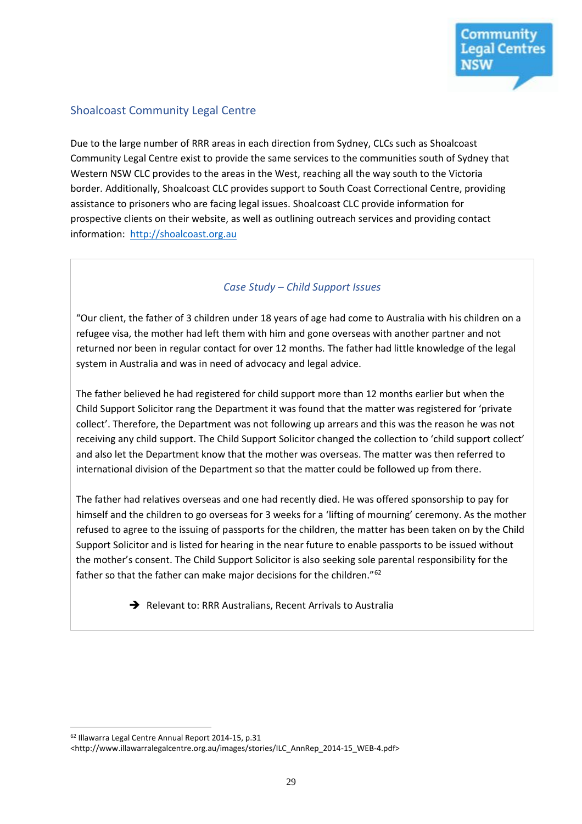#### Shoalcoast Community Legal Centre

Due to the large number of RRR areas in each direction from Sydney, CLCs such as Shoalcoast Community Legal Centre exist to provide the same services to the communities south of Sydney that Western NSW CLC provides to the areas in the West, reaching all the way south to the Victoria border. Additionally, Shoalcoast CLC provides support to South Coast Correctional Centre, providing assistance to prisoners who are facing legal issues. Shoalcoast CLC provide information for prospective clients on their website, as well as outlining outreach services and providing contact information: [http://shoalcoast.org.au](http://shoalcoast.org.au/)

#### *Case Study – Child Support Issues*

"Our client, the father of 3 children under 18 years of age had come to Australia with his children on a refugee visa, the mother had left them with him and gone overseas with another partner and not returned nor been in regular contact for over 12 months. The father had little knowledge of the legal system in Australia and was in need of advocacy and legal advice.

The father believed he had registered for child support more than 12 months earlier but when the Child Support Solicitor rang the Department it was found that the matter was registered for 'private collect'. Therefore, the Department was not following up arrears and this was the reason he was not receiving any child support. The Child Support Solicitor changed the collection to 'child support collect' and also let the Department know that the mother was overseas. The matter was then referred to international division of the Department so that the matter could be followed up from there.

The father had relatives overseas and one had recently died. He was offered sponsorship to pay for himself and the children to go overseas for 3 weeks for a 'lifting of mourning' ceremony. As the mother refused to agree to the issuing of passports for the children, the matter has been taken on by the Child Support Solicitor and is listed for hearing in the near future to enable passports to be issued without the mother's consent. The Child Support Solicitor is also seeking sole parental responsibility for the father so that the father can make major decisions for the children."<sup>62</sup>

Relevant to: RRR Australians, Recent Arrivals to Australia

<sup>62</sup> Illawarra Legal Centre Annual Report 2014-15, p.31

<sup>&</sup>lt;http://www.illawarralegalcentre.org.au/images/stories/ILC\_AnnRep\_2014-15\_WEB-4.pdf>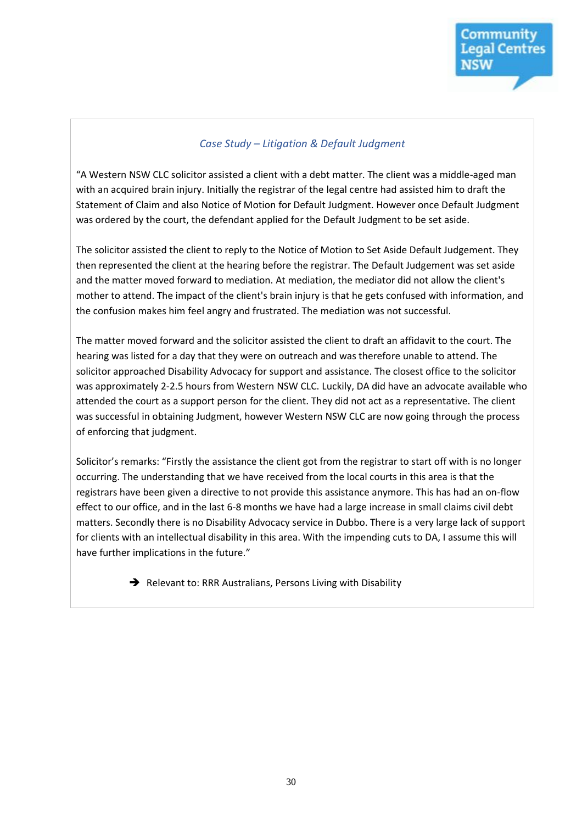#### *Case Study – Litigation & Default Judgment*

"A Western NSW CLC solicitor assisted a client with a debt matter. The client was a middle-aged man with an acquired brain injury. Initially the registrar of the legal centre had assisted him to draft the Statement of Claim and also Notice of Motion for Default Judgment. However once Default Judgment was ordered by the court, the defendant applied for the Default Judgment to be set aside.

The solicitor assisted the client to reply to the Notice of Motion to Set Aside Default Judgement. They then represented the client at the hearing before the registrar. The Default Judgement was set aside and the matter moved forward to mediation. At mediation, the mediator did not allow the client's mother to attend. The impact of the client's brain injury is that he gets confused with information, and the confusion makes him feel angry and frustrated. The mediation was not successful.

The matter moved forward and the solicitor assisted the client to draft an affidavit to the court. The hearing was listed for a day that they were on outreach and was therefore unable to attend. The solicitor approached Disability Advocacy for support and assistance. The closest office to the solicitor was approximately 2-2.5 hours from Western NSW CLC. Luckily, DA did have an advocate available who attended the court as a support person for the client. They did not act as a representative. The client was successful in obtaining Judgment, however Western NSW CLC are now going through the process of enforcing that judgment.

Solicitor's remarks: "Firstly the assistance the client got from the registrar to start off with is no longer occurring. The understanding that we have received from the local courts in this area is that the registrars have been given a directive to not provide this assistance anymore. This has had an on-flow effect to our office, and in the last 6-8 months we have had a large increase in small claims civil debt matters. Secondly there is no Disability Advocacy service in Dubbo. There is a very large lack of support for clients with an intellectual disability in this area. With the impending cuts to DA, I assume this will have further implications in the future."

Relevant to: RRR Australians, Persons Living with Disability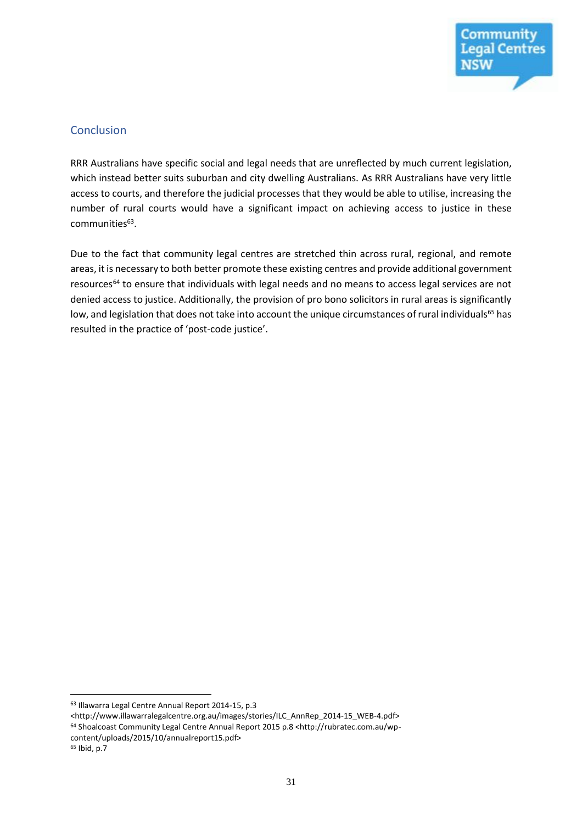

#### **Conclusion**

RRR Australians have specific social and legal needs that are unreflected by much current legislation, which instead better suits suburban and city dwelling Australians. As RRR Australians have very little access to courts, and therefore the judicial processes that they would be able to utilise, increasing the number of rural courts would have a significant impact on achieving access to justice in these communities<sup>63</sup>.

Due to the fact that community legal centres are stretched thin across rural, regional, and remote areas, it is necessary to both better promote these existing centres and provide additional government resources<sup>64</sup> to ensure that individuals with legal needs and no means to access legal services are not denied access to justice. Additionally, the provision of pro bono solicitors in rural areas is significantly low, and legislation that does not take into account the unique circumstances of rural individuals<sup>65</sup> has resulted in the practice of 'post-code justice'.

<sup>63</sup> Illawarra Legal Centre Annual Report 2014-15, p.3

<sup>&</sup>lt;http://www.illawarralegalcentre.org.au/images/stories/ILC\_AnnRep\_2014-15\_WEB-4.pdf> <sup>64</sup> Shoalcoast Community Legal Centre Annual Report 2015 p.8 <http://rubratec.com.au/wpcontent/uploads/2015/10/annualreport15.pdf>

<sup>65</sup> Ibid, p.7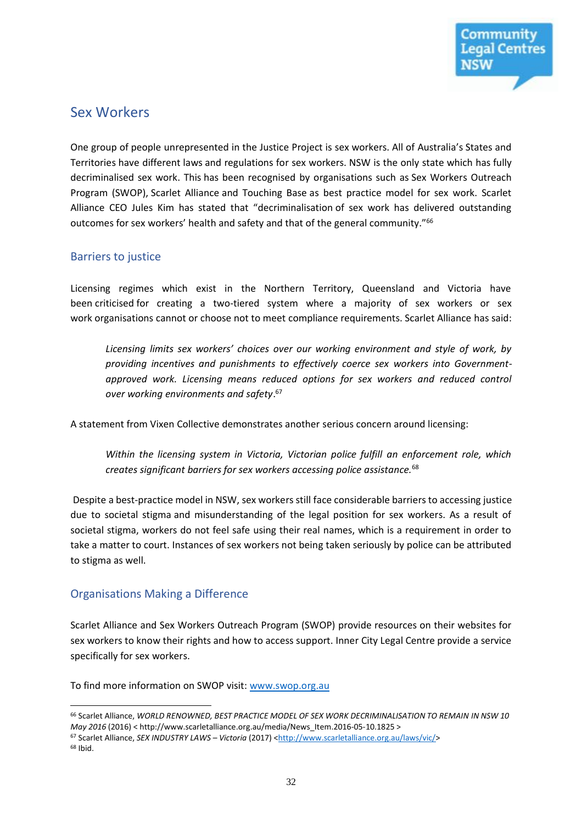

### Sex Workers

One group of people unrepresented in the Justice Project is sex workers. All of Australia's States and Territories have different laws and regulations for sex workers. NSW is the only state which has fully decriminalised sex work. This has been recognised by organisations such as Sex Workers Outreach Program (SWOP), Scarlet Alliance and Touching Base as best practice model for sex work. Scarlet Alliance CEO Jules Kim has stated that "decriminalisation of sex work has delivered outstanding outcomes for sex workers' health and safety and that of the general community."<sup>66</sup>

#### Barriers to justice

Licensing regimes which exist in the Northern Territory, Queensland and Victoria have been criticised for creating a two-tiered system where a majority of sex workers or sex work organisations cannot or choose not to meet compliance requirements. Scarlet Alliance has said:

*Licensing limits sex workers' choices over our working environment and style of work, by providing incentives and punishments to effectively coerce sex workers into Governmentapproved work. Licensing means reduced options for sex workers and reduced control over working environments and safety*. 67

A statement from Vixen Collective demonstrates another serious concern around licensing:

*Within the licensing system in Victoria, Victorian police fulfill an enforcement role, which creates significant barriers for sex workers accessing police assistance.*<sup>68</sup>

Despite a best-practice model in NSW, sex workers still face considerable barriers to accessing justice due to societal stigma and misunderstanding of the legal position for sex workers. As a result of societal stigma, workers do not feel safe using their real names, which is a requirement in order to take a matter to court. Instances of sex workers not being taken seriously by police can be attributed to stigma as well.

#### Organisations Making a Difference

Scarlet Alliance and Sex Workers Outreach Program (SWOP) provide resources on their websites for sex workers to know their rights and how to access support. Inner City Legal Centre provide a service specifically for sex workers.

To find more information on SWOP visit: [www.swop.org.au](http://www.swop.org.au/)

 $\overline{a}$ <sup>66</sup> Scarlet Alliance, *WORLD RENOWNED, BEST PRACTICE MODEL OF SEX WORK DECRIMINALISATION TO REMAIN IN NSW 10 May 2016* (2016) < [http://www.scarletalliance.org.au/media/News\\_Item.2016-0](https://www.dropbox.com/referrer_cleansing_redirect?hmac=7Qvo5SPtzi8z2q30J14Ukjr1i5g8ki8wF00nwAYoINU%3D&url=http%3A%2F%2Fwww.scarletalliance.org.au%2Fmedia%2FNews_Item.2016-)5-10.1825 >

<sup>67</sup> Scarlet Alliance, *SEX INDUSTRY LAWS – Victoria* (2017) [<http://www.scarletalliance.org.au/laws/vic/>](https://www.dropbox.com/referrer_cleansing_redirect?hmac=yz0LMGL2Y05SqhU9mCVmgfBe8vmttMd0xvxS43UCL3k%3D&url=http%3A%2F%2Fwww.scarletalliance.org.au%2Flaws%2Fvic%2F) <sup>68</sup> Ibid.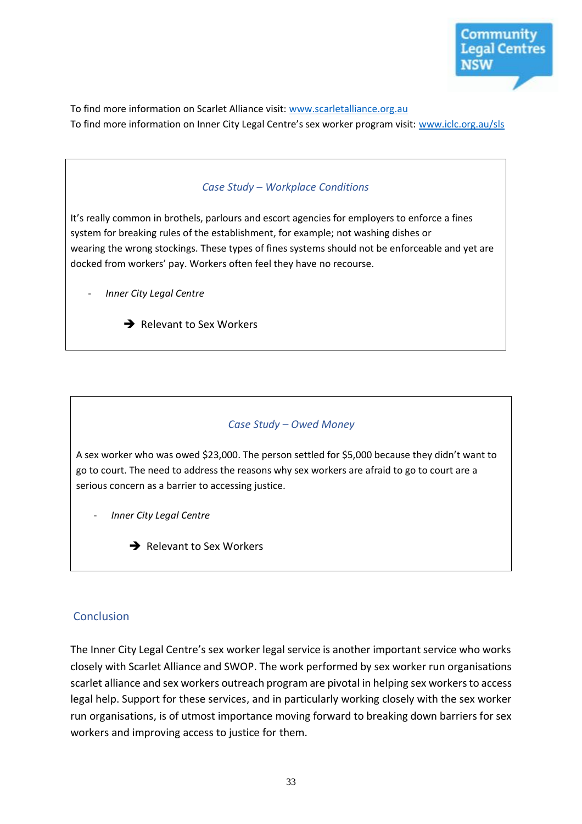

To find more information on Scarlet Alliance visit: [www.scarletalliance.org.au](http://www.scarletalliance.org.au/) To find more information on Inner City Legal Centre's sex worker program visit: [www.iclc.org.au/sls](http://www.iclc.org.au/sls)

# *Case Study – Workplace Conditions* It's really common in brothels, parlours and escort agencies for employers to enforce a fines system for breaking rules of the establishment, for example; not washing dishes or wearing the wrong stockings. These types of fines systems should not be enforceable and yet are docked from workers' pay. Workers often feel they have no recourse. - *Inner City Legal Centre*

*Case Study – Owed Money*

A sex worker who was owed \$23,000. The person settled for \$5,000 because they didn't want to go to court. The need to address the reasons why sex workers are afraid to go to court are a serious concern as a barrier to accessing justice.

- *Inner City Legal Centre*
	- $\rightarrow$  Relevant to Sex Workers

 $\rightarrow$  Relevant to Sex Workers

#### **Conclusion**

The Inner City Legal Centre's sex worker legal service is another important service who works closely with Scarlet Alliance and SWOP. The work performed by sex worker run organisations scarlet alliance and sex workers outreach program are pivotal in helping sex workers to access legal help. Support for these services, and in particularly working closely with the sex worker run organisations, is of utmost importance moving forward to breaking down barriers for sex workers and improving access to justice for them.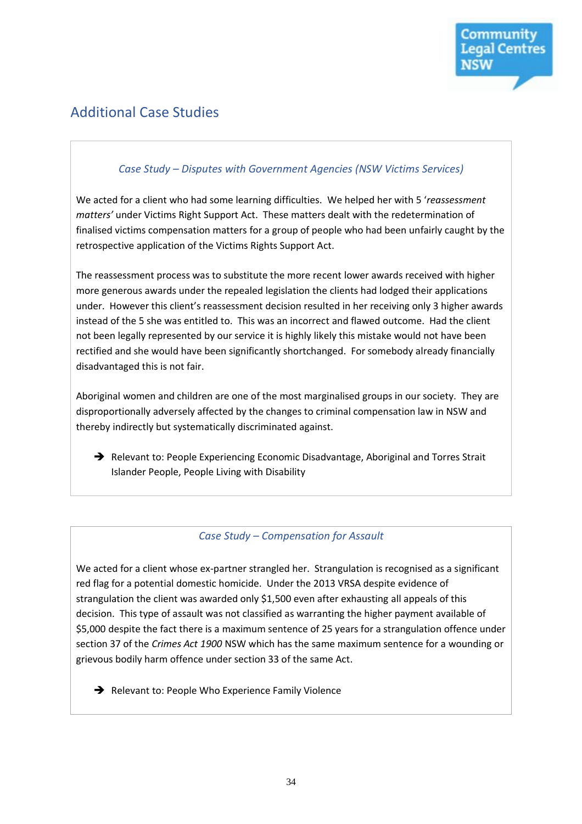

# Additional Case Studies

#### *Case Study – Disputes with Government Agencies (NSW Victims Services)*

We acted for a client who had some learning difficulties. We helped her with 5 '*reassessment matters'* under Victims Right Support Act. These matters dealt with the redetermination of finalised victims compensation matters for a group of people who had been unfairly caught by the retrospective application of the Victims Rights Support Act.

The reassessment process was to substitute the more recent lower awards received with higher more generous awards under the repealed legislation the clients had lodged their applications under. However this client's reassessment decision resulted in her receiving only 3 higher awards instead of the 5 she was entitled to. This was an incorrect and flawed outcome. Had the client not been legally represented by our service it is highly likely this mistake would not have been rectified and she would have been significantly shortchanged. For somebody already financially disadvantaged this is not fair.

Aboriginal women and children are one of the most marginalised groups in our society. They are disproportionally adversely affected by the changes to criminal compensation law in NSW and thereby indirectly but systematically discriminated against.

 $\rightarrow$  Relevant to: People Experiencing Economic Disadvantage, Aboriginal and Torres Strait Islander People, People Living with Disability

#### *Case Study – Compensation for Assault*

We acted for a client whose ex-partner strangled her. Strangulation is recognised as a significant red flag for a potential domestic homicide. Under the 2013 VRSA despite evidence of strangulation the client was awarded only \$1,500 even after exhausting all appeals of this decision. This type of assault was not classified as warranting the higher payment available of \$5,000 despite the fact there is a maximum sentence of 25 years for a strangulation offence under section 37 of the *Crimes Act 1900* NSW which has the same maximum sentence for a wounding or grievous bodily harm offence under section 33 of the same Act.

Relevant to: People Who Experience Family Violence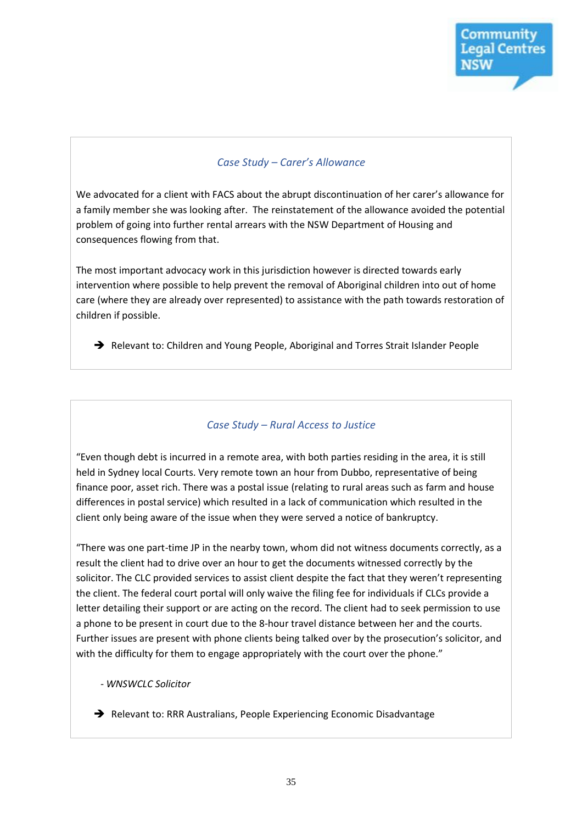

#### *Case Study – Carer's Allowance*

We advocated for a client with FACS about the abrupt discontinuation of her carer's allowance for a family member she was looking after. The reinstatement of the allowance avoided the potential problem of going into further rental arrears with the NSW Department of Housing and consequences flowing from that.

The most important advocacy work in this jurisdiction however is directed towards early intervention where possible to help prevent the removal of Aboriginal children into out of home care (where they are already over represented) to assistance with the path towards restoration of children if possible.

→ Relevant to: Children and Young People, Aboriginal and Torres Strait Islander People

#### *Case Study – Rural Access to Justice*

"Even though debt is incurred in a remote area, with both parties residing in the area, it is still held in Sydney local Courts. Very remote town an hour from Dubbo, representative of being finance poor, asset rich. There was a postal issue (relating to rural areas such as farm and house differences in postal service) which resulted in a lack of communication which resulted in the client only being aware of the issue when they were served a notice of bankruptcy.

"There was one part-time JP in the nearby town, whom did not witness documents correctly, as a result the client had to drive over an hour to get the documents witnessed correctly by the solicitor. The CLC provided services to assist client despite the fact that they weren't representing the client. The federal court portal will only waive the filing fee for individuals if CLCs provide a letter detailing their support or are acting on the record. The client had to seek permission to use a phone to be present in court due to the 8-hour travel distance between her and the courts. Further issues are present with phone clients being talked over by the prosecution's solicitor, and with the difficulty for them to engage appropriately with the court over the phone."

*- WNSWCLC Solicitor*

Relevant to: RRR Australians, People Experiencing Economic Disadvantage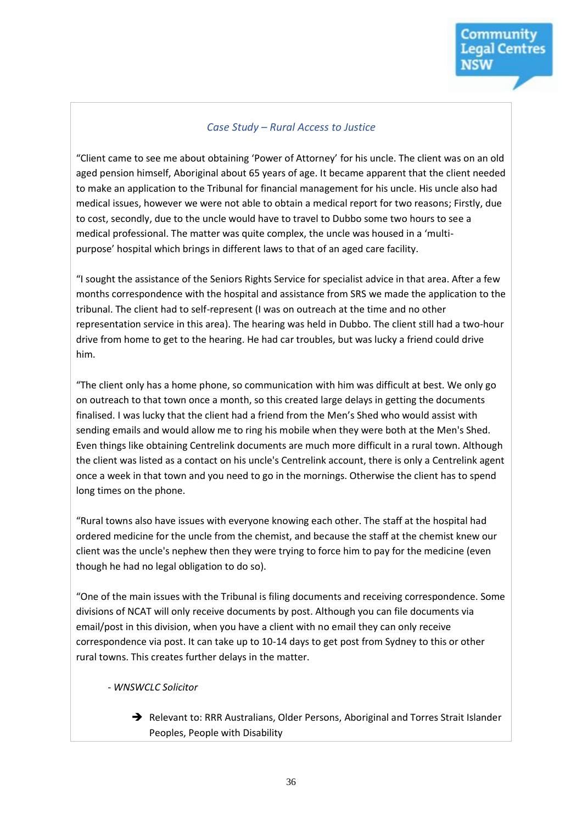#### *Case Study – Rural Access to Justice*

"Client came to see me about obtaining 'Power of Attorney' for his uncle. The client was on an old aged pension himself, Aboriginal about 65 years of age. It became apparent that the client needed to make an application to the Tribunal for financial management for his uncle. His uncle also had medical issues, however we were not able to obtain a medical report for two reasons; Firstly, due to cost, secondly, due to the uncle would have to travel to Dubbo some two hours to see a medical professional. The matter was quite complex, the uncle was housed in a 'multipurpose' hospital which brings in different laws to that of an aged care facility.

"I sought the assistance of the Seniors Rights Service for specialist advice in that area. After a few months correspondence with the hospital and assistance from SRS we made the application to the tribunal. The client had to self-represent (I was on outreach at the time and no other representation service in this area). The hearing was held in Dubbo. The client still had a two-hour drive from home to get to the hearing. He had car troubles, but was lucky a friend could drive him.

"The client only has a home phone, so communication with him was difficult at best. We only go on outreach to that town once a month, so this created large delays in getting the documents finalised. I was lucky that the client had a friend from the Men's Shed who would assist with sending emails and would allow me to ring his mobile when they were both at the Men's Shed. Even things like obtaining Centrelink documents are much more difficult in a rural town. Although the client was listed as a contact on his uncle's Centrelink account, there is only a Centrelink agent once a week in that town and you need to go in the mornings. Otherwise the client has to spend long times on the phone.

"Rural towns also have issues with everyone knowing each other. The staff at the hospital had ordered medicine for the uncle from the chemist, and because the staff at the chemist knew our client was the uncle's nephew then they were trying to force him to pay for the medicine (even though he had no legal obligation to do so).

"One of the main issues with the Tribunal is filing documents and receiving correspondence. Some divisions of NCAT will only receive documents by post. Although you can file documents via email/post in this division, when you have a client with no email they can only receive correspondence via post. It can take up to 10-14 days to get post from Sydney to this or other rural towns. This creates further delays in the matter.

#### - *WNSWCLC Solicitor*

→ Relevant to: RRR Australians, Older Persons, Aboriginal and Torres Strait Islander Peoples, People with Disability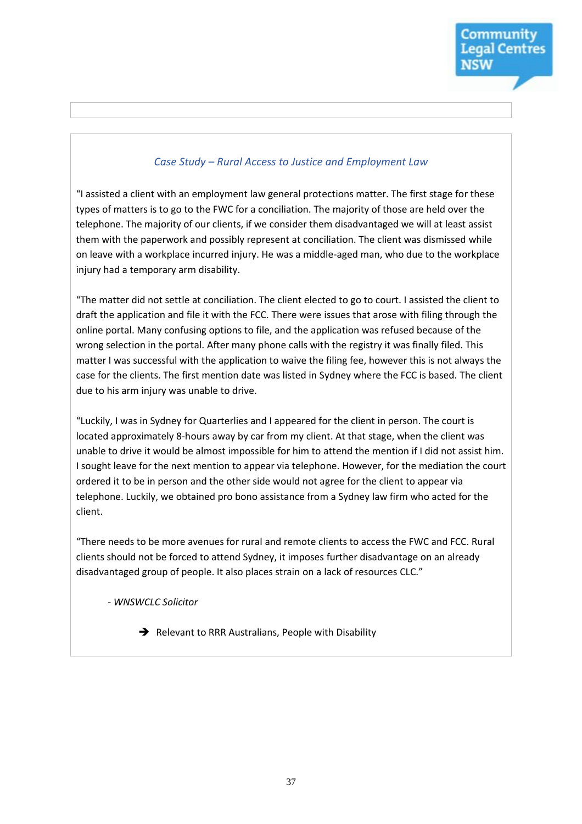#### *Case Study – Rural Access to Justice and Employment Law*

"I assisted a client with an employment law general protections matter. The first stage for these types of matters is to go to the FWC for a conciliation. The majority of those are held over the telephone. The majority of our clients, if we consider them disadvantaged we will at least assist them with the paperwork and possibly represent at conciliation. The client was dismissed while on leave with a workplace incurred injury. He was a middle-aged man, who due to the workplace injury had a temporary arm disability.

"The matter did not settle at conciliation. The client elected to go to court. I assisted the client to draft the application and file it with the FCC. There were issues that arose with filing through the online portal. Many confusing options to file, and the application was refused because of the wrong selection in the portal. After many phone calls with the registry it was finally filed. This matter I was successful with the application to waive the filing fee, however this is not always the case for the clients. The first mention date was listed in Sydney where the FCC is based. The client due to his arm injury was unable to drive.

"Luckily, I was in Sydney for Quarterlies and I appeared for the client in person. The court is located approximately 8-hours away by car from my client. At that stage, when the client was unable to drive it would be almost impossible for him to attend the mention if I did not assist him. I sought leave for the next mention to appear via telephone. However, for the mediation the court ordered it to be in person and the other side would not agree for the client to appear via telephone. Luckily, we obtained pro bono assistance from a Sydney law firm who acted for the client.

"There needs to be more avenues for rural and remote clients to access the FWC and FCC. Rural clients should not be forced to attend Sydney, it imposes further disadvantage on an already disadvantaged group of people. It also places strain on a lack of resources CLC."

- *WNSWCLC Solicitor*

 $\rightarrow$  Relevant to RRR Australians, People with Disability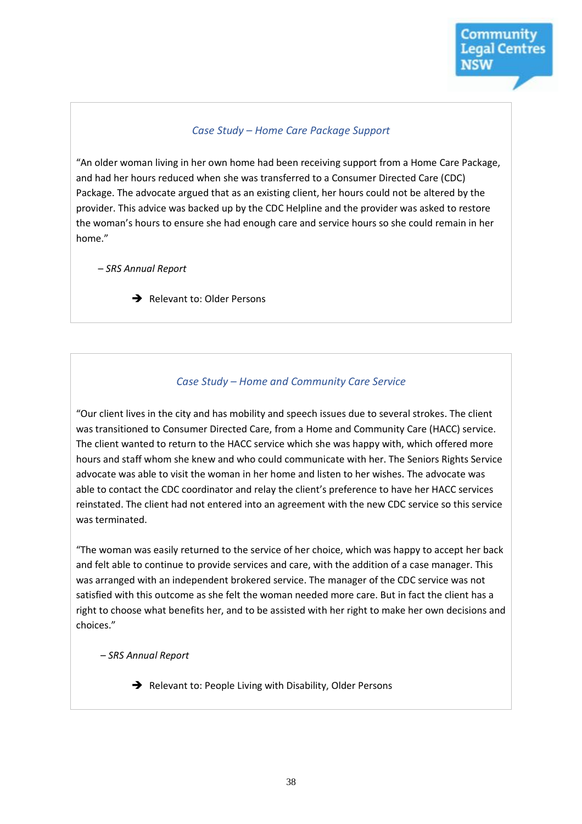#### *Case Study – Home Care Package Support*

"An older woman living in her own home had been receiving support from a Home Care Package, and had her hours reduced when she was transferred to a Consumer Directed Care (CDC) Package. The advocate argued that as an existing client, her hours could not be altered by the provider. This advice was backed up by the CDC Helpline and the provider was asked to restore the woman's hours to ensure she had enough care and service hours so she could remain in her home."

– *SRS Annual Report*

Relevant to: Older Persons

#### *Case Study – Home and Community Care Service*

"Our client lives in the city and has mobility and speech issues due to several strokes. The client was transitioned to Consumer Directed Care, from a Home and Community Care (HACC) service. The client wanted to return to the HACC service which she was happy with, which offered more hours and staff whom she knew and who could communicate with her. The Seniors Rights Service advocate was able to visit the woman in her home and listen to her wishes. The advocate was able to contact the CDC coordinator and relay the client's preference to have her HACC services reinstated. The client had not entered into an agreement with the new CDC service so this service was terminated.

"The woman was easily returned to the service of her choice, which was happy to accept her back and felt able to continue to provide services and care, with the addition of a case manager. This was arranged with an independent brokered service. The manager of the CDC service was not satisfied with this outcome as she felt the woman needed more care. But in fact the client has a right to choose what benefits her, and to be assisted with her right to make her own decisions and choices."

– *SRS Annual Report*

Relevant to: People Living with Disability, Older Persons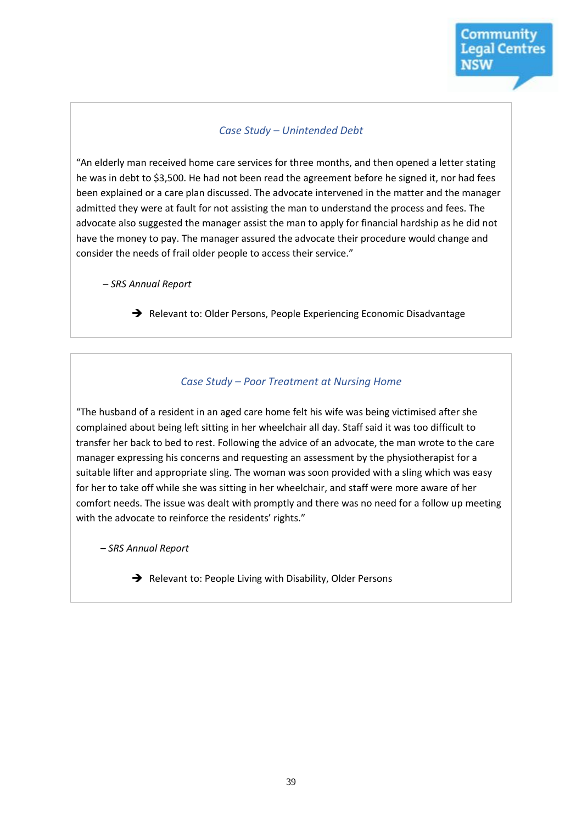#### *Case Study – Unintended Debt*

"An elderly man received home care services for three months, and then opened a letter stating he was in debt to \$3,500. He had not been read the agreement before he signed it, nor had fees been explained or a care plan discussed. The advocate intervened in the matter and the manager admitted they were at fault for not assisting the man to understand the process and fees. The advocate also suggested the manager assist the man to apply for financial hardship as he did not have the money to pay. The manager assured the advocate their procedure would change and consider the needs of frail older people to access their service."

– *SRS Annual Report*

Relevant to: Older Persons, People Experiencing Economic Disadvantage

#### *Case Study – Poor Treatment at Nursing Home*

"The husband of a resident in an aged care home felt his wife was being victimised after she complained about being left sitting in her wheelchair all day. Staff said it was too difficult to transfer her back to bed to rest. Following the advice of an advocate, the man wrote to the care manager expressing his concerns and requesting an assessment by the physiotherapist for a suitable lifter and appropriate sling. The woman was soon provided with a sling which was easy for her to take off while she was sitting in her wheelchair, and staff were more aware of her comfort needs. The issue was dealt with promptly and there was no need for a follow up meeting with the advocate to reinforce the residents' rights."

– *SRS Annual Report*

 $\rightarrow$  Relevant to: People Living with Disability, Older Persons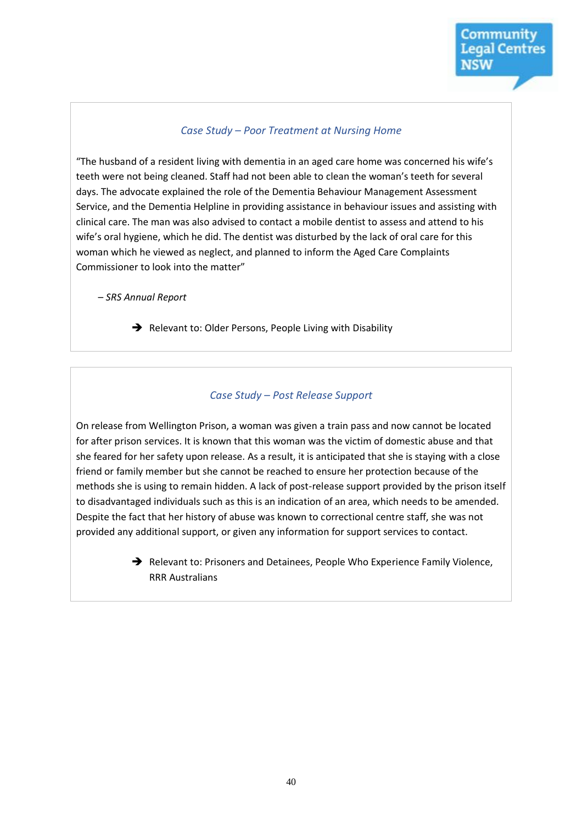#### *Case Study – Poor Treatment at Nursing Home*

"The husband of a resident living with dementia in an aged care home was concerned his wife's teeth were not being cleaned. Staff had not been able to clean the woman's teeth for several days. The advocate explained the role of the Dementia Behaviour Management Assessment Service, and the Dementia Helpline in providing assistance in behaviour issues and assisting with clinical care. The man was also advised to contact a mobile dentist to assess and attend to his wife's oral hygiene, which he did. The dentist was disturbed by the lack of oral care for this woman which he viewed as neglect, and planned to inform the Aged Care Complaints Commissioner to look into the matter"

– *SRS Annual Report*

Relevant to: Older Persons, People Living with Disability

#### *Case Study – Post Release Support*

On release from Wellington Prison, a woman was given a train pass and now cannot be located for after prison services. It is known that this woman was the victim of domestic abuse and that she feared for her safety upon release. As a result, it is anticipated that she is staying with a close friend or family member but she cannot be reached to ensure her protection because of the methods she is using to remain hidden. A lack of post-release support provided by the prison itself to disadvantaged individuals such as this is an indication of an area, which needs to be amended. Despite the fact that her history of abuse was known to correctional centre staff, she was not provided any additional support, or given any information for support services to contact.

> Relevant to: Prisoners and Detainees, People Who Experience Family Violence, RRR Australians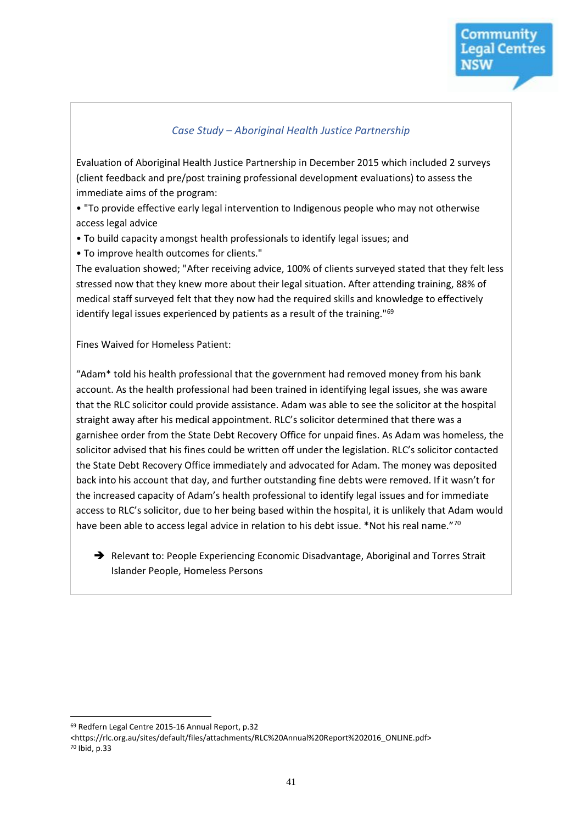#### *Case Study – Aboriginal Health Justice Partnership*

Evaluation of Aboriginal Health Justice Partnership in December 2015 which included 2 surveys (client feedback and pre/post training professional development evaluations) to assess the immediate aims of the program:

• "To provide effective early legal intervention to Indigenous people who may not otherwise access legal advice

• To build capacity amongst health professionals to identify legal issues; and

• To improve health outcomes for clients."

The evaluation showed; "After receiving advice, 100% of clients surveyed stated that they felt less stressed now that they knew more about their legal situation. After attending training, 88% of medical staff surveyed felt that they now had the required skills and knowledge to effectively identify legal issues experienced by patients as a result of the training."<sup>69</sup>

Fines Waived for Homeless Patient:

"Adam\* told his health professional that the government had removed money from his bank account. As the health professional had been trained in identifying legal issues, she was aware that the RLC solicitor could provide assistance. Adam was able to see the solicitor at the hospital straight away after his medical appointment. RLC's solicitor determined that there was a garnishee order from the State Debt Recovery Office for unpaid fines. As Adam was homeless, the solicitor advised that his fines could be written off under the legislation. RLC's solicitor contacted the State Debt Recovery Office immediately and advocated for Adam. The money was deposited back into his account that day, and further outstanding fine debts were removed. If it wasn't for the increased capacity of Adam's health professional to identify legal issues and for immediate access to RLC's solicitor, due to her being based within the hospital, it is unlikely that Adam would have been able to access legal advice in relation to his debt issue. \*Not his real name."70

→ Relevant to: People Experiencing Economic Disadvantage, Aboriginal and Torres Strait Islander People, Homeless Persons

<sup>69</sup> Redfern Legal Centre 2015-16 Annual Report, p.32

<sup>&</sup>lt;https://rlc.org.au/sites/default/files/attachments/RLC%20Annual%20Report%202016\_ONLINE.pdf> <sup>70</sup> Ibid, p.33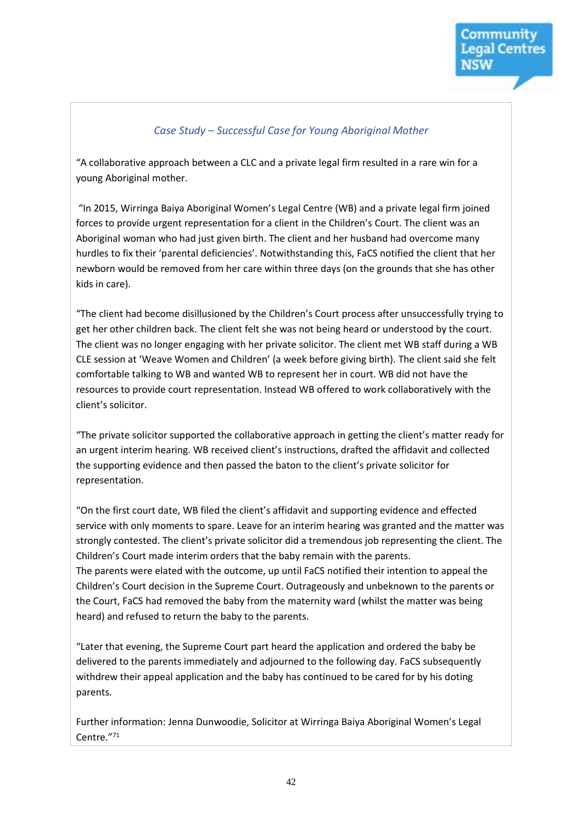#### *Case Study – Successful Case for Young Aboriginal Mother*

"A collaborative approach between a CLC and a private legal firm resulted in a rare win for a young Aboriginal mother.

"In 2015, Wirringa Baiya Aboriginal Women's Legal Centre (WB) and a private legal firm joined forces to provide urgent representation for a client in the Children's Court. The client was an Aboriginal woman who had just given birth. The client and her husband had overcome many hurdles to fix their 'parental deficiencies'. Notwithstanding this, FaCS notified the client that her newborn would be removed from her care within three days (on the grounds that she has other kids in care).

"The client had become disillusioned by the Children's Court process after unsuccessfully trying to get her other children back. The client felt she was not being heard or understood by the court. The client was no longer engaging with her private solicitor. The client met WB staff during a WB CLE session at 'Weave Women and Children' (a week before giving birth). The client said she felt comfortable talking to WB and wanted WB to represent her in court. WB did not have the resources to provide court representation. Instead WB offered to work collaboratively with the client's solicitor.

"The private solicitor supported the collaborative approach in getting the client's matter ready for an urgent interim hearing. WB received client's instructions, drafted the affidavit and collected the supporting evidence and then passed the baton to the client's private solicitor for representation.

"On the first court date, WB filed the client's affidavit and supporting evidence and effected service with only moments to spare. Leave for an interim hearing was granted and the matter was strongly contested. The client's private solicitor did a tremendous job representing the client. The Children's Court made interim orders that the baby remain with the parents. The parents were elated with the outcome, up until FaCS notified their intention to appeal the Children's Court decision in the Supreme Court. Outrageously and unbeknown to the parents or the Court, FaCS had removed the baby from the maternity ward (whilst the matter was being heard) and refused to return the baby to the parents.

"Later that evening, the Supreme Court part heard the application and ordered the baby be delivered to the parents immediately and adjourned to the following day. FaCS subsequently withdrew their appeal application and the baby has continued to be cared for by his doting parents.

Further information: Jenna Dunwoodie, Solicitor at Wirringa Baiya Aboriginal Women's Legal Centre." 71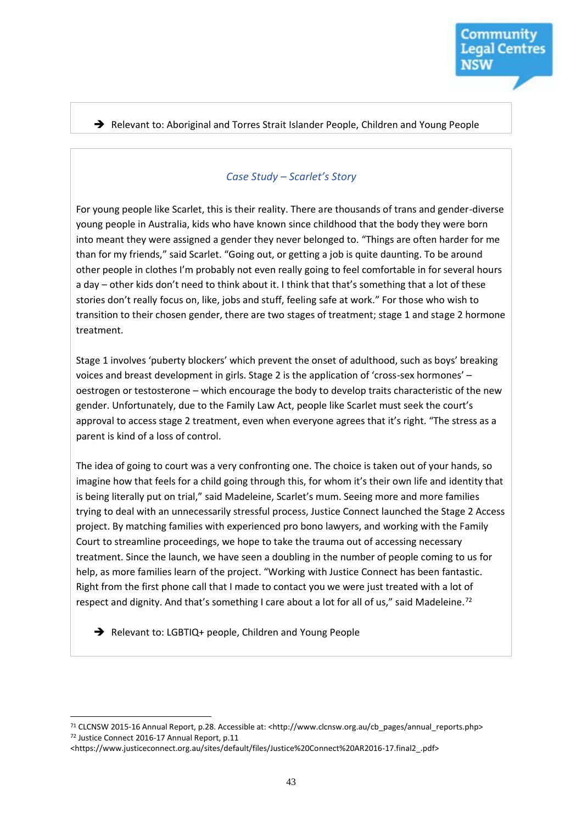#### → Relevant to: Aboriginal and Torres Strait Islander People, Children and Young People

#### *Case Study – Scarlet's Story*

For young people like Scarlet, this is their reality. There are thousands of trans and gender-diverse young people in Australia, kids who have known since childhood that the body they were born into meant they were assigned a gender they never belonged to. "Things are often harder for me than for my friends," said Scarlet. "Going out, or getting a job is quite daunting. To be around other people in clothes I'm probably not even really going to feel comfortable in for several hours a day – other kids don't need to think about it. I think that that's something that a lot of these stories don't really focus on, like, jobs and stuff, feeling safe at work." For those who wish to transition to their chosen gender, there are two stages of treatment; stage 1 and stage 2 hormone treatment.

Stage 1 involves 'puberty blockers' which prevent the onset of adulthood, such as boys' breaking voices and breast development in girls. Stage 2 is the application of 'cross-sex hormones' – oestrogen or testosterone – which encourage the body to develop traits characteristic of the new gender. Unfortunately, due to the Family Law Act, people like Scarlet must seek the court's approval to access stage 2 treatment, even when everyone agrees that it's right. "The stress as a parent is kind of a loss of control.

The idea of going to court was a very confronting one. The choice is taken out of your hands, so imagine how that feels for a child going through this, for whom it's their own life and identity that is being literally put on trial," said Madeleine, Scarlet's mum. Seeing more and more families trying to deal with an unnecessarily stressful process, Justice Connect launched the Stage 2 Access project. By matching families with experienced pro bono lawyers, and working with the Family Court to streamline proceedings, we hope to take the trauma out of accessing necessary treatment. Since the launch, we have seen a doubling in the number of people coming to us for help, as more families learn of the project. "Working with Justice Connect has been fantastic. Right from the first phone call that I made to contact you we were just treated with a lot of respect and dignity. And that's something I care about a lot for all of us," said Madeleine.<sup>72</sup>

Relevant to: LGBTIQ+ people, Children and Young People

<sup>71</sup> CLCNSW 2015-16 Annual Report, p.28. Accessible at: <http://www.clcnsw.org.au/cb\_pages/annual\_reports.php> <sup>72</sup> Justice Connect 2016-17 Annual Report, p.11

<sup>&</sup>lt;https://www.justiceconnect.org.au/sites/default/files/Justice%20Connect%20AR2016-17.final2\_.pdf>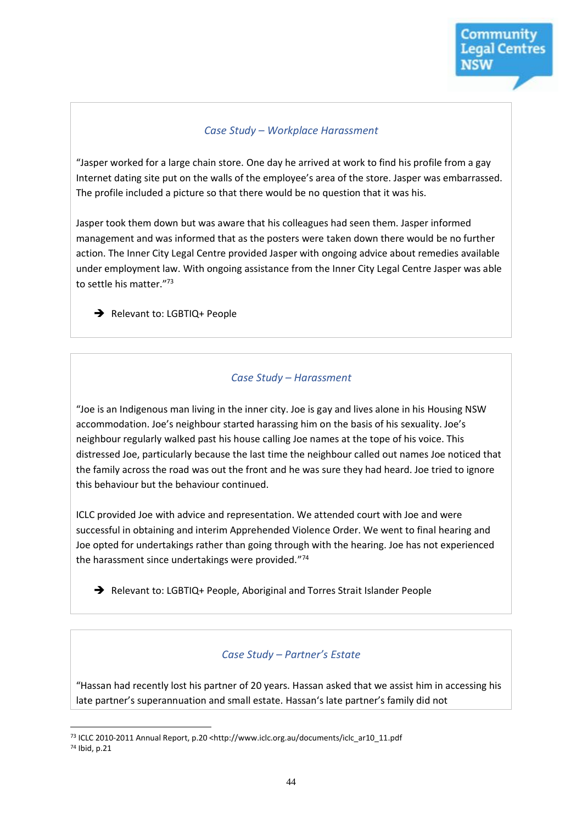#### *Case Study – Workplace Harassment*

"Jasper worked for a large chain store. One day he arrived at work to find his profile from a gay Internet dating site put on the walls of the employee's area of the store. Jasper was embarrassed. The profile included a picture so that there would be no question that it was his.

Jasper took them down but was aware that his colleagues had seen them. Jasper informed management and was informed that as the posters were taken down there would be no further action. The Inner City Legal Centre provided Jasper with ongoing advice about remedies available under employment law. With ongoing assistance from the Inner City Legal Centre Jasper was able to settle his matter." 73

Relevant to: LGBTIQ+ People

#### *Case Study – Harassment*

"Joe is an Indigenous man living in the inner city. Joe is gay and lives alone in his Housing NSW accommodation. Joe's neighbour started harassing him on the basis of his sexuality. Joe's neighbour regularly walked past his house calling Joe names at the tope of his voice. This distressed Joe, particularly because the last time the neighbour called out names Joe noticed that the family across the road was out the front and he was sure they had heard. Joe tried to ignore this behaviour but the behaviour continued.

ICLC provided Joe with advice and representation. We attended court with Joe and were successful in obtaining and interim Apprehended Violence Order. We went to final hearing and Joe opted for undertakings rather than going through with the hearing. Joe has not experienced the harassment since undertakings were provided." 74

Relevant to: LGBTIQ+ People, Aboriginal and Torres Strait Islander People

#### *Case Study – Partner's Estate*

"Hassan had recently lost his partner of 20 years. Hassan asked that we assist him in accessing his late partner's superannuation and small estate. Hassan's late partner's family did not

 $\overline{a}$ <sup>73</sup> ICLC 2010-2011 Annual Report, p.20 <http://www.iclc.org.au/documents/iclc\_ar10\_11.pdf <sup>74</sup> Ibid, p.21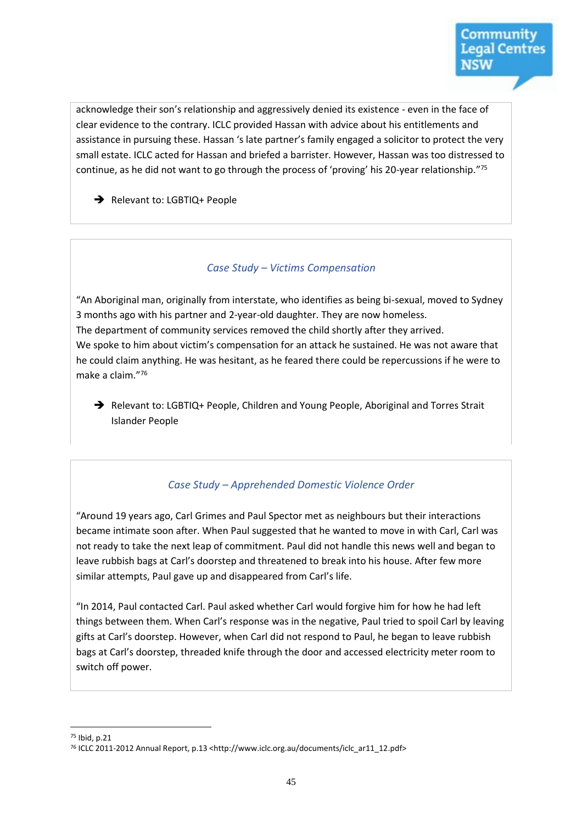acknowledge their son's relationship and aggressively denied its existence - even in the face of clear evidence to the contrary. ICLC provided Hassan with advice about his entitlements and assistance in pursuing these. Hassan 's late partner's family engaged a solicitor to protect the very small estate. ICLC acted for Hassan and briefed a barrister. However, Hassan was too distressed to continue, as he did not want to go through the process of 'proving' his 20-year relationship."<sup>75</sup>

Relevant to: LGBTIQ+ People

#### *Case Study – Victims Compensation*

"An Aboriginal man, originally from interstate, who identifies as being bi-sexual, moved to Sydney 3 months ago with his partner and 2-year-old daughter. They are now homeless. The department of community services removed the child shortly after they arrived. We spoke to him about victim's compensation for an attack he sustained. He was not aware that he could claim anything. He was hesitant, as he feared there could be repercussions if he were to make a claim." 76

→ Relevant to: LGBTIQ+ People, Children and Young People, Aboriginal and Torres Strait Islander People

#### *Case Study – Apprehended Domestic Violence Order*

"Around 19 years ago, Carl Grimes and Paul Spector met as neighbours but their interactions became intimate soon after. When Paul suggested that he wanted to move in with Carl, Carl was not ready to take the next leap of commitment. Paul did not handle this news well and began to leave rubbish bags at Carl's doorstep and threatened to break into his house. After few more similar attempts, Paul gave up and disappeared from Carl's life.

"In 2014, Paul contacted Carl. Paul asked whether Carl would forgive him for how he had left things between them. When Carl's response was in the negative, Paul tried to spoil Carl by leaving gifts at Carl's doorstep. However, when Carl did not respond to Paul, he began to leave rubbish bags at Carl's doorstep, threaded knife through the door and accessed electricity meter room to switch off power.

<sup>75</sup> Ibid, p.21

<sup>76</sup> ICLC 2011-2012 Annual Report, p.13 <http://www.iclc.org.au/documents/iclc\_ar11\_12.pdf>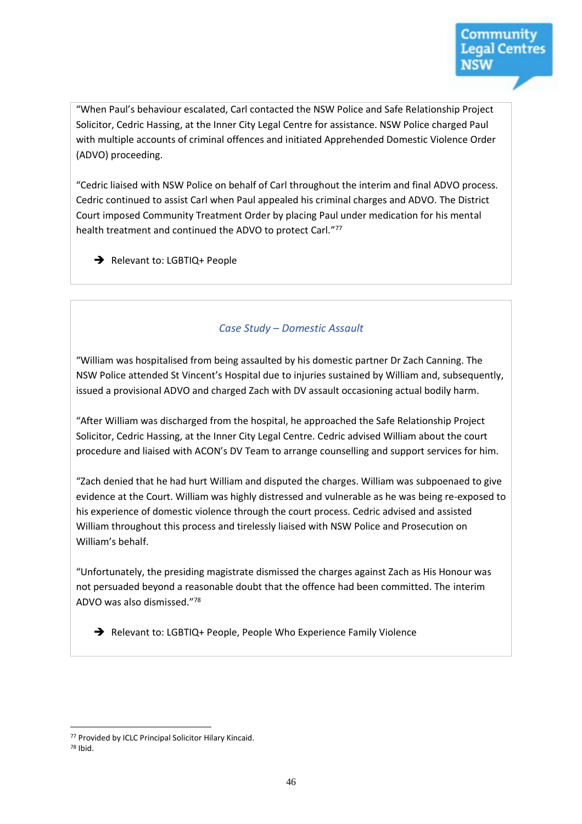"When Paul's behaviour escalated, Carl contacted the NSW Police and Safe Relationship Project Solicitor, Cedric Hassing, at the Inner City Legal Centre for assistance. NSW Police charged Paul with multiple accounts of criminal offences and initiated Apprehended Domestic Violence Order (ADVO) proceeding.

"Cedric liaised with NSW Police on behalf of Carl throughout the interim and final ADVO process. Cedric continued to assist Carl when Paul appealed his criminal charges and ADVO. The District Court imposed Community Treatment Order by placing Paul under medication for his mental health treatment and continued the ADVO to protect Carl."77

Relevant to: LGBTIQ+ People

#### *Case Study – Domestic Assault*

"William was hospitalised from being assaulted by his domestic partner Dr Zach Canning. The NSW Police attended St Vincent's Hospital due to injuries sustained by William and, subsequently, issued a provisional ADVO and charged Zach with DV assault occasioning actual bodily harm.

"After William was discharged from the hospital, he approached the Safe Relationship Project Solicitor, Cedric Hassing, at the Inner City Legal Centre. Cedric advised William about the court procedure and liaised with ACON's DV Team to arrange counselling and support services for him.

"Zach denied that he had hurt William and disputed the charges. William was subpoenaed to give evidence at the Court. William was highly distressed and vulnerable as he was being re-exposed to his experience of domestic violence through the court process. Cedric advised and assisted William throughout this process and tirelessly liaised with NSW Police and Prosecution on William's behalf.

"Unfortunately, the presiding magistrate dismissed the charges against Zach as His Honour was not persuaded beyond a reasonable doubt that the offence had been committed. The interim ADVO was also dismissed." 78

Relevant to: LGBTIQ+ People, People Who Experience Family Violence

 $\overline{a}$ <sup>77</sup> Provided by ICLC Principal Solicitor Hilary Kincaid.

<sup>78</sup> Ibid.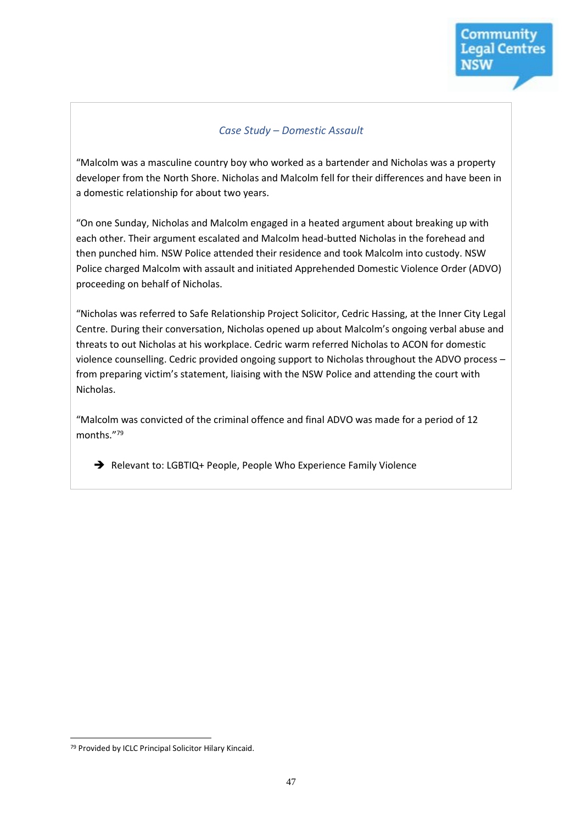#### *Case Study – Domestic Assault*

"Malcolm was a masculine country boy who worked as a bartender and Nicholas was a property developer from the North Shore. Nicholas and Malcolm fell for their differences and have been in a domestic relationship for about two years.

"On one Sunday, Nicholas and Malcolm engaged in a heated argument about breaking up with each other. Their argument escalated and Malcolm head-butted Nicholas in the forehead and then punched him. NSW Police attended their residence and took Malcolm into custody. NSW Police charged Malcolm with assault and initiated Apprehended Domestic Violence Order (ADVO) proceeding on behalf of Nicholas.

"Nicholas was referred to Safe Relationship Project Solicitor, Cedric Hassing, at the Inner City Legal Centre. During their conversation, Nicholas opened up about Malcolm's ongoing verbal abuse and threats to out Nicholas at his workplace. Cedric warm referred Nicholas to ACON for domestic violence counselling. Cedric provided ongoing support to Nicholas throughout the ADVO process – from preparing victim's statement, liaising with the NSW Police and attending the court with Nicholas.

"Malcolm was convicted of the criminal offence and final ADVO was made for a period of 12 months." 79

Relevant to: LGBTIQ+ People, People Who Experience Family Violence

<sup>79</sup> Provided by ICLC Principal Solicitor Hilary Kincaid.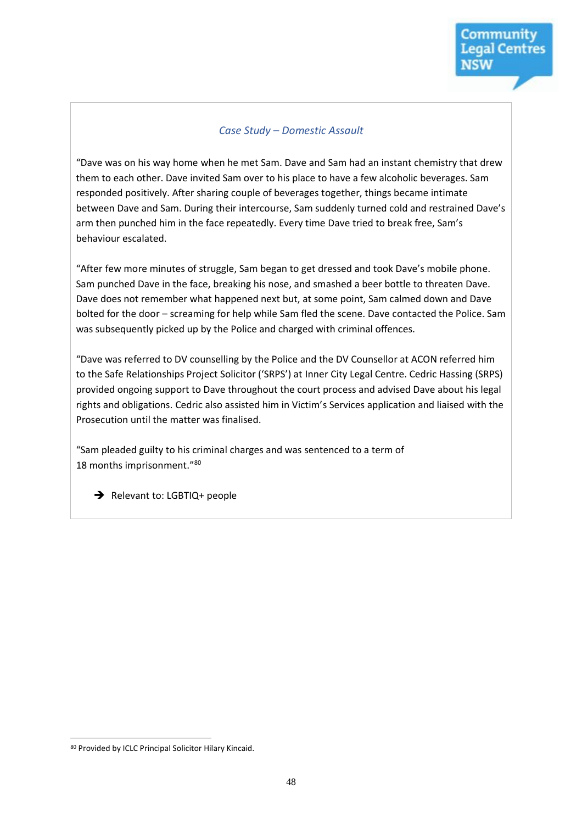#### *Case Study – Domestic Assault*

"Dave was on his way home when he met Sam. Dave and Sam had an instant chemistry that drew them to each other. Dave invited Sam over to his place to have a few alcoholic beverages. Sam responded positively. After sharing couple of beverages together, things became intimate between Dave and Sam. During their intercourse, Sam suddenly turned cold and restrained Dave's arm then punched him in the face repeatedly. Every time Dave tried to break free, Sam's behaviour escalated.

"After few more minutes of struggle, Sam began to get dressed and took Dave's mobile phone. Sam punched Dave in the face, breaking his nose, and smashed a beer bottle to threaten Dave. Dave does not remember what happened next but, at some point, Sam calmed down and Dave bolted for the door – screaming for help while Sam fled the scene. Dave contacted the Police. Sam was subsequently picked up by the Police and charged with criminal offences.

"Dave was referred to DV counselling by the Police and the DV Counsellor at ACON referred him to the Safe Relationships Project Solicitor ('SRPS') at Inner City Legal Centre. Cedric Hassing (SRPS) provided ongoing support to Dave throughout the court process and advised Dave about his legal rights and obligations. Cedric also assisted him in Victim's Services application and liaised with the Prosecution until the matter was finalised.

"Sam pleaded guilty to his criminal charges and was sentenced to a term of 18 months imprisonment." 80

 $\rightarrow$  Relevant to: LGBTIQ+ people

<sup>80</sup> Provided by ICLC Principal Solicitor Hilary Kincaid.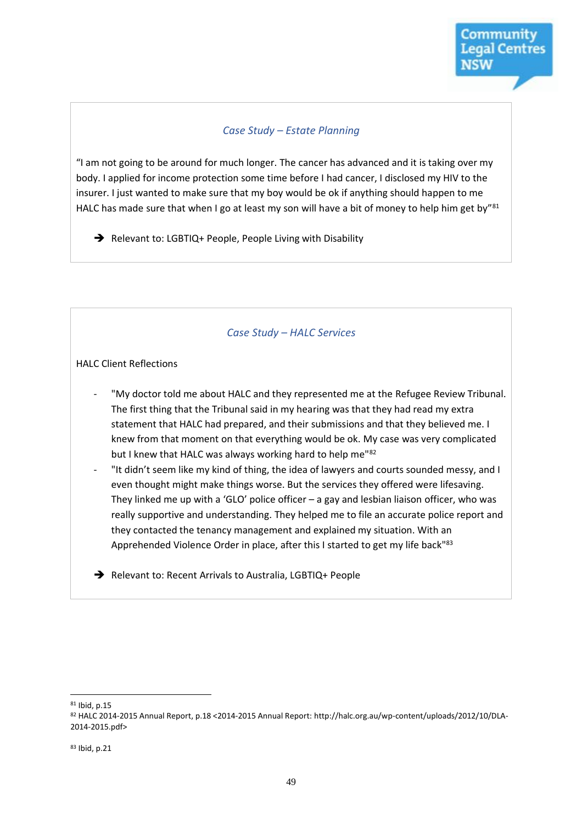#### *Case Study – Estate Planning*

"I am not going to be around for much longer. The cancer has advanced and it is taking over my body. I applied for income protection some time before I had cancer, I disclosed my HIV to the insurer. I just wanted to make sure that my boy would be ok if anything should happen to me HALC has made sure that when I go at least my son will have a bit of money to help him get by"<sup>81</sup>

Relevant to: LGBTIQ+ People, People Living with Disability

#### *Case Study – HALC Services*

#### HALC Client Reflections

- "My doctor told me about HALC and they represented me at the Refugee Review Tribunal. The first thing that the Tribunal said in my hearing was that they had read my extra statement that HALC had prepared, and their submissions and that they believed me. I knew from that moment on that everything would be ok. My case was very complicated but I knew that HALC was always working hard to help me"82
- "It didn't seem like my kind of thing, the idea of lawyers and courts sounded messy, and I even thought might make things worse. But the services they offered were lifesaving. They linked me up with a 'GLO' police officer – a gay and lesbian liaison officer, who was really supportive and understanding. They helped me to file an accurate police report and they contacted the tenancy management and explained my situation. With an Apprehended Violence Order in place, after this I started to get my life back<sup>183</sup>

Relevant to: Recent Arrivals to Australia, LGBTIQ+ People

 $\overline{a}$ <sup>81</sup> Ibid, p.15

<sup>82</sup> HALC 2014-2015 Annual Report, p.18 <2014-2015 Annual Report: http://halc.org.au/wp-content/uploads/2012/10/DLA-2014-2015.pdf>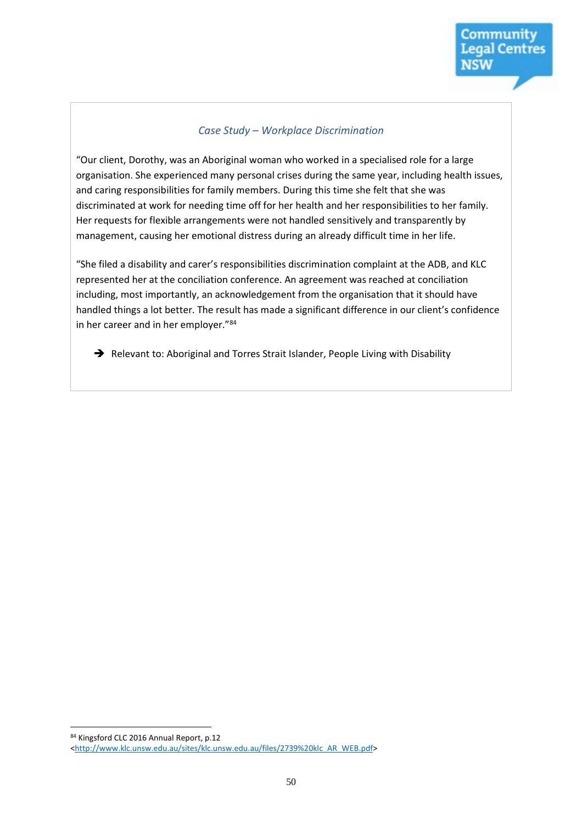#### *Case Study – Workplace Discrimination*

"Our client, Dorothy, was an Aboriginal woman who worked in a specialised role for a large organisation. She experienced many personal crises during the same year, including health issues, and caring responsibilities for family members. During this time she felt that she was discriminated at work for needing time off for her health and her responsibilities to her family. Her requests for flexible arrangements were not handled sensitively and transparently by management, causing her emotional distress during an already difficult time in her life.

"She filed a disability and carer's responsibilities discrimination complaint at the ADB, and KLC represented her at the conciliation conference. An agreement was reached at conciliation including, most importantly, an acknowledgement from the organisation that it should have handled things a lot better. The result has made a significant difference in our client's confidence in her career and in her employer."<sup>84</sup>

Relevant to: Aboriginal and Torres Strait Islander, People Living with Disability

<sup>84</sup> Kingsford CLC 2016 Annual Report, p.12

[<sup>&</sup>lt;http://www.klc.unsw.edu.au/sites/klc.unsw.edu.au/files/2739%20klc\\_AR\\_WEB.pdf>](http://www.klc.unsw.edu.au/sites/klc.unsw.edu.au/files/2739%20klc_AR_WEB.pdf)